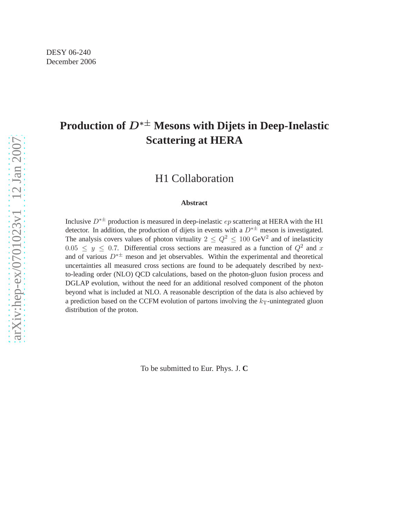# **Production of** D∗± **Mesons with Dijets in Deep-Inelastic Scattering at HERA**

### H1 Collaboration

#### **Abstract**

Inclusive  $D^{* \pm}$  production is measured in deep-inelastic ep scattering at HERA with the H1 detector. In addition, the production of dijets in events with a  $D^{*\pm}$  meson is investigated. The analysis covers values of photon virtuality  $2 \leq Q^2 \leq 100 \text{ GeV}^2$  and of inelasticity  $0.05 \leq y \leq 0.7$ . Differential cross sections are measured as a function of  $Q^2$  and x and of various  $D^{*\pm}$  meson and jet observables. Within the experimental and theoretical uncertainties all measured cross sections are found to be adequately described by nextto-leading order (NLO) QCD calculations, based on the photon-gluon fusion process and DGLAP evolution, without the need for an additional resolved component of the photon beyond what is included at NLO. A reasonable description of the data is also achieved by a prediction based on the CCFM evolution of partons involving the  $k_T$ -unintegrated gluon distribution of the proton.

To be submitted to Eur. Phys. J. **C**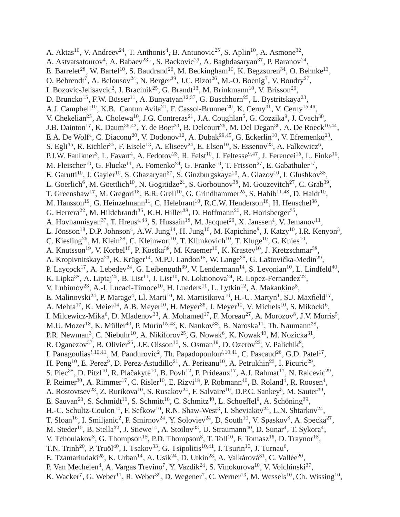A. Aktas<sup>10</sup>, V. Andreev<sup>24</sup>, T. Anthonis<sup>4</sup>, B. Antunovic<sup>25</sup>, S. Aplin<sup>10</sup>, A. Asmone<sup>32</sup>, A. Astvatsatourov<sup>4</sup>, A. Babaev<sup>23,†</sup>, S. Backovic<sup>29</sup>, A. Baghdasaryan<sup>37</sup>, P. Baranov<sup>24</sup>, E. Barrelet<sup>28</sup>, W. Bartel<sup>10</sup>, S. Baudrand<sup>26</sup>, M. Beckingham<sup>10</sup>, K. Begzsuren<sup>34</sup>, O. Behnke<sup>13</sup>, O. Behrendt<sup>7</sup>, A. Belousov<sup>24</sup>, N. Berger<sup>39</sup>, J.C. Bizot<sup>26</sup>, M.-O. Boenig<sup>7</sup>, V. Boudry<sup>27</sup>, I. Bozovic-Jelisavcic<sup>2</sup>, J. Bracinik<sup>25</sup>, G. Brandt<sup>13</sup>, M. Brinkmann<sup>10</sup>, V. Brisson<sup>26</sup>, D. Bruncko<sup>15</sup>, F.W. Büsser<sup>11</sup>, A. Bunyatyan<sup>12,37</sup>, G. Buschhorn<sup>25</sup>, L. Bystritskaya<sup>23</sup>, A.J. Campbell<sup>10</sup>, K.B. Cantun Avila<sup>21</sup>, F. Cassol-Brunner<sup>20</sup>, K. Cerny<sup>31</sup>, V. Cerny<sup>15,46</sup>, V. Chekelian<sup>25</sup>, A. Cholewa<sup>10</sup>, J.G. Contreras<sup>21</sup>, J.A. Coughlan<sup>5</sup>, G. Cozzika<sup>9</sup>, J. Cvach<sup>30</sup>, J.B. Dainton<sup>17</sup>, K. Daum<sup>36,42</sup>, Y. de Boer<sup>23</sup>, B. Delcourt<sup>26</sup>, M. Del Degan<sup>39</sup>, A. De Roeck<sup>10,44</sup>, E.A. De Wolf<sup>4</sup>, C. Diaconu<sup>20</sup>, V. Dodonov<sup>12</sup>, A. Dubak<sup>29,45</sup>, G. Eckerlin<sup>10</sup>, V. Efremenko<sup>23</sup>, S. Egli $^{35}$ , R. Eichler $^{35}$ , F. Eisele $^{13}$ , A. Eliseev $^{24}$ , E. Elsen $^{10}$ , S. Essenov $^{23}$ , A. Falkewicz $^6$ , P.J.W. Faulkner<sup>3</sup>, L. Favart<sup>4</sup>, A. Fedotov<sup>23</sup>, R. Felst<sup>10</sup>, J. Feltesse<sup>9,47</sup>, J. Ferencei<sup>15</sup>, L. Finke<sup>10</sup>, M. Fleischer<sup>10</sup>, G. Flucke<sup>11</sup>, A. Fomenko<sup>24</sup>, G. Franke<sup>10</sup>, T. Frisson<sup>27</sup>, E. Gabathuler<sup>17</sup>, E. Garutti<sup>10</sup>, J. Gayler<sup>10</sup>, S. Ghazaryan<sup>37</sup>, S. Ginzburgskaya<sup>23</sup>, A. Glazov<sup>10</sup>, I. Glushkov<sup>38</sup>, L. Goerlich<sup>6</sup>, M. Goettlich<sup>10</sup>, N. Gogitidze<sup>24</sup>, S. Gorbounov<sup>38</sup>, M. Gouzevitch<sup>27</sup>, C. Grab<sup>39</sup>, T. Greenshaw<sup>17</sup>, M. Gregori<sup>18</sup>, B.R. Grell<sup>10</sup>, G. Grindhammer<sup>25</sup>, S. Habib<sup>11,48</sup>, D. Haidt<sup>10</sup>, M. Hansson<sup>19</sup>, G. Heinzelmann<sup>11</sup>, C. Helebrant<sup>10</sup>, R.C.W. Henderson<sup>16</sup>, H. Henschel<sup>38</sup>, G. Herrera<sup>22</sup>, M. Hildebrandt<sup>35</sup>, K.H. Hiller<sup>38</sup>, D. Hoffmann<sup>20</sup>, R. Horisberger<sup>35</sup>, A. Hovhannisyan<sup>37</sup>, T. Hreus<sup>4,43</sup>, S. Hussain<sup>18</sup>, M. Jacquet<sup>26</sup>, X. Janssen<sup>4</sup>, V. Jemanov<sup>11</sup>, L. Jönsson<sup>19</sup>, D.P. Johnson<sup>4</sup>, A.W. Jung<sup>14</sup>, H. Jung<sup>10</sup>, M. Kapichine<sup>8</sup>, J. Katzy<sup>10</sup>, I.R. Kenyon<sup>3</sup>, C. Kiesling<sup>25</sup>, M. Klein<sup>38</sup>, C. Kleinwort<sup>10</sup>, T. Klimkovich<sup>10</sup>, T. Kluge<sup>10</sup>, G. Knies<sup>10</sup>, A. Knutsson<sup>19</sup>, V. Korbel<sup>10</sup>, P. Kostka<sup>38</sup>, M. Kraemer<sup>10</sup>, K. Krastev<sup>10</sup>, J. Kretzschmar<sup>38</sup>, A. Kropivnitskaya<sup>23</sup>, K. Krüger<sup>14</sup>, M.P.J. Landon<sup>18</sup>, W. Lange<sup>38</sup>, G. Laštovička-Medin<sup>29</sup>, P. Laycock<sup>17</sup>, A. Lebedev<sup>24</sup>, G. Leibenguth<sup>39</sup>, V. Lendermann<sup>14</sup>, S. Levonian<sup>10</sup>, L. Lindfeld<sup>40</sup>, K. Lipka<sup>38</sup>, A. Liptaj<sup>25</sup>, B. List<sup>11</sup>, J. List<sup>10</sup>, N. Loktionova<sup>24</sup>, R. Lopez-Fernandez<sup>22</sup>, V. Lubimov<sup>23</sup>, A.-I. Lucaci-Timoce<sup>10</sup>, H. Lueders<sup>11</sup>, L. Lytkin<sup>12</sup>, A. Makankine<sup>8</sup>, E. Malinovski $^{24}$ , P. Marage<sup>4</sup>, Ll. Marti $^{10}$ , M. Martisikova $^{10}$ , H.-U. Martyn $^{1}$ , S.J. Maxfield $^{17}$ , A. Mehta $^{17}$ , K. Meier $^{14}$ , A.B. Meyer $^{10}$ , H. Meyer $^{36}$ , J. Meyer $^{10}$ , V. Michels $^{10}$ , S. Mikocki $^6$ , I. Milcewicz-Mika<sup>6</sup>, D. Mladenov<sup>33</sup>, A. Mohamed<sup>17</sup>, F. Moreau<sup>27</sup>, A. Morozov<sup>8</sup>, J.V. Morris<sup>5</sup>, M.U. Mozer $^{13}$ , K. Müller $^{40}$ , P. Murín $^{15,43}$ , K. Nankov $^{33}$ , B. Naroska $^{11}$ , Th. Naumann $^{38}$ , P.R. Newman<sup>3</sup>, C. Niebuhr<sup>10</sup>, A. Nikiforov<sup>25</sup>, G. Nowak<sup>6</sup>, K. Nowak<sup>40</sup>, M. Nozicka<sup>31</sup>, R. Oganezov<sup>37</sup>, B. Olivier<sup>25</sup>, J.E. Olsson<sup>10</sup>, S. Osman<sup>19</sup>, D. Ozerov<sup>23</sup>, V. Palichik<sup>8</sup>, I. Panagoulias<sup> $l, 10, 41$ </sup>, M. Pandurovic<sup>2</sup>, Th. Papadopoulou<sup> $l, 10, 41$ </sup>, C. Pascaud<sup>26</sup>, G.D. Patel<sup>17</sup>, H. Peng<sup>10</sup>, E. Perez<sup>9</sup>, D. Perez-Astudillo<sup>21</sup>, A. Perieanu<sup>10</sup>, A. Petrukhin<sup>23</sup>, I. Picuric<sup>29</sup>, S. Piec<sup>38</sup>, D. Pitzl<sup>10</sup>, R. Plačakytė<sup>10</sup>, B. Povh<sup>12</sup>, P. Prideaux<sup>17</sup>, A.J. Rahmat<sup>17</sup>, N. Raicevic<sup>29</sup>, P. Reimer<sup>30</sup>, A. Rimmer<sup>17</sup>, C. Risler<sup>10</sup>, E. Rizvi<sup>18</sup>, P. Robmann<sup>40</sup>, B. Roland<sup>4</sup>, R. Roosen<sup>4</sup>, A. Rostovtsev<sup>23</sup>, Z. Rurikova<sup>10</sup>, S. Rusakov<sup>24</sup>, F. Salvaire<sup>10</sup>, D.P.C. Sankey<sup>5</sup>, M. Sauter<sup>39</sup>, E. Sauvan<sup>20</sup>, S. Schmidt<sup>10</sup>, S. Schmitt<sup>10</sup>, C. Schmitz<sup>40</sup>, L. Schoeffel<sup>9</sup>, A. Schöning<sup>39</sup>, H.-C. Schultz-Coulon<sup>14</sup>, F. Sefkow<sup>10</sup>, R.N. Shaw-West<sup>3</sup>, I. Sheviakov<sup>24</sup>, L.N. Shtarkov<sup>24</sup>, T. Sloan<sup>16</sup>, I. Smiljanic<sup>2</sup>, P. Smirnov<sup>24</sup>, Y. Soloviev<sup>24</sup>, D. South<sup>10</sup>, V. Spaskov<sup>8</sup>, A. Specka<sup>27</sup>, M. Steder<sup>10</sup>, B. Stella<sup>32</sup>, J. Stiewe<sup>14</sup>, A. Stoilov<sup>33</sup>, U. Straumann<sup>40</sup>, D. Sunar<sup>4</sup>, T. Sykora<sup>4</sup>, V. Tchoulakov<sup>8</sup>, G. Thompson<sup>18</sup>, P.D. Thompson<sup>3</sup>, T. Toll<sup>10</sup>, F. Tomasz<sup>15</sup>, D. Traynor<sup>18</sup>, T.N. Trinh<sup>20</sup>, P. Truöl<sup>40</sup>, I. Tsakov<sup>33</sup>, G. Tsipolitis<sup>10,41</sup>, I. Tsurin<sup>10</sup>, J. Turnau<sup>6</sup>, E. Tzamariudaki<sup>25</sup>, K. Urban<sup>14</sup>, A. Usik<sup>24</sup>, D. Utkin<sup>23</sup>, A. Valkárová<sup>31</sup>, C. Vallée<sup>20</sup>, P. Van Mechelen<sup>4</sup>, A. Vargas Trevino<sup>7</sup>, Y. Vazdik<sup>24</sup>, S. Vinokurova<sup>10</sup>, V. Volchinski<sup>37</sup>, K. Wacker<sup>7</sup>, G. Weber<sup>11</sup>, R. Weber<sup>39</sup>, D. Wegener<sup>7</sup>, C. Werner<sup>13</sup>, M. Wessels<sup>10</sup>, Ch. Wissing<sup>10</sup>,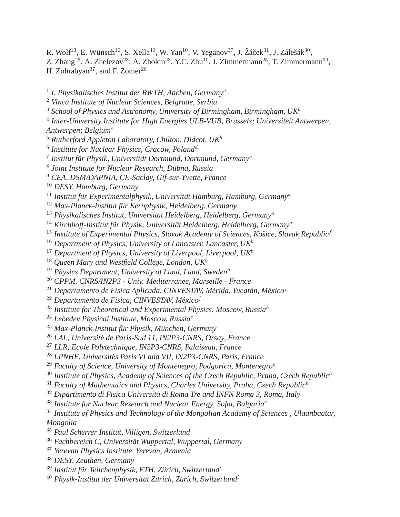R. Wolf<sup>13</sup>, E. Wünsch<sup>10</sup>, S. Xella<sup>40</sup>, W. Yan<sup>10</sup>, V. Yeganov<sup>37</sup>, J. Žáček $^{31}$ , J. Zálešák $^{30}$ ,

Z. Zhang<sup>26</sup>, A. Zhelezov<sup>23</sup>, A. Zhokin<sup>23</sup>, Y.C. Zhu<sup>10</sup>, J. Zimmermann<sup>25</sup>, T. Zimmermann<sup>39</sup>, H. Zohrabyan<sup>37</sup>, and F. Zomer<sup>26</sup>

<sup>1</sup> I. Physikalisches Institut der RWTH, Aachen, Germany<sup>a</sup>

<sup>2</sup> *Vinca Institute of Nuclear Sciences, Belgrade, Serbia*

<sup>3</sup> *School of Physics and Astronomy, University of Birmingham, Birmingham, UK*<sup>b</sup>

4 *Inter-University Institute for High Energies ULB-VUB, Brussels; Universiteit Antwerpen,*

*Antwerpen; Belgium*<sup>c</sup>

- <sup>5</sup> *Rutherford Appleton Laboratory, Chilton, Didcot, UK*<sup>b</sup>
- <sup>6</sup> Institute for Nuclear Physics, Cracow, Poland<sup>d</sup>
- <sup>7</sup> Institut für Physik, Universität Dortmund, Dortmund, Germany<sup>a</sup>
- 8 *Joint Institute for Nuclear Research, Dubna, Russia*
- <sup>9</sup> *CEA, DSM/DAPNIA, CE-Saclay, Gif-sur-Yvette, France*
- <sup>10</sup> *DESY, Hamburg, Germany*
- $^{11}$  Institut für Experimentalphysik, Universität Hamburg, Hamburg, Germany $^a$
- <sup>12</sup> Max-Planck-Institut für Kernphysik, Heidelberg, Germany
- <sup>13</sup> Physikalisches Institut, Universität Heidelberg, Heidelberg, Germany<sup>a</sup>
- <sup>14</sup> Kirchhoff-Institut für Physik, Universität Heidelberg, Heidelberg, Germany<sup>a</sup>
- <sup>15</sup> Institute of Experimental Physics, Slovak Academy of Sciences, Košice, Slovak Republic<sup>f</sup>
- <sup>16</sup> *Department of Physics, University of Lancaster, Lancaster, UK*<sup>b</sup>
- <sup>17</sup> Department of Physics, University of Liverpool, Liverpool, UK<sup>b</sup>
- <sup>18</sup> *Queen Mary and Westfield College, London, UK*<sup>b</sup>
- <sup>19</sup> Physics Department, University of Lund, Lund, Sweden<sup>9</sup>
- <sup>20</sup> *CPPM, CNRS/IN2P3 Univ. Mediterranee, Marseille France*
- <sup>21</sup> Departamento de Fisica Aplicada, CINVESTAV, Mérida, Yucatán, México<sup>j</sup>
- <sup>22</sup> Departamento de Fisica, CINVESTAV, México<sup>j</sup>
- <sup>23</sup> *Institute for Theoretical and Experimental Physics, Moscow, Russia*<sup>k</sup>
- <sup>24</sup> *Lebedev Physical Institute, Moscow, Russia*<sup>e</sup>
- <sup>25</sup> Max-Planck-Institut für Physik, München, Germany
- <sup>26</sup> *LAL, Universite de Paris-Sud 11, IN2P3-CNRS, Orsay, France ´*
- <sup>27</sup> *LLR, Ecole Polytechnique, IN2P3-CNRS, Palaiseau, France*
- <sup>28</sup> *LPNHE, Universites Paris VI and VII, IN2P3-CNRS, Paris, France ´*
- <sup>29</sup> Faculty of Science, University of Montenegro, Podgorica, Montenegro<sup>e</sup>
- <sup>30</sup> *Institute of Physics, Academy of Sciences of the Czech Republic, Praha, Czech Republic*<sup>h</sup>
- <sup>31</sup> *Faculty of Mathematics and Physics, Charles University, Praha, Czech Republic*<sup>h</sup>
- <sup>32</sup> *Dipartimento di Fisica Universita di Roma Tre and INFN Roma 3, Roma, Italy `*
- <sup>33</sup> *Institute for Nuclear Research and Nuclear Energy, Sofia, Bulgaria*<sup>e</sup>
- <sup>34</sup> *Institute of Physics and Technology of the Mongolian Academy of Sciences , Ulaanbaatar, Mongolia*
- <sup>35</sup> *Paul Scherrer Institut, Villigen, Switzerland*
- <sup>36</sup> *Fachbereich C, Universitat Wuppertal, Wuppertal, Germany ¨*
- <sup>37</sup> *Yerevan Physics Institute, Yerevan, Armenia*
- <sup>38</sup> *DESY, Zeuthen, Germany*
- <sup>39</sup> Institut für Teilchenphysik, ETH, Zürich, Switzerland<sup>i</sup>
- <sup>40</sup> Physik-Institut der Universität Zürich, Zürich, Switzerland<sup>i</sup>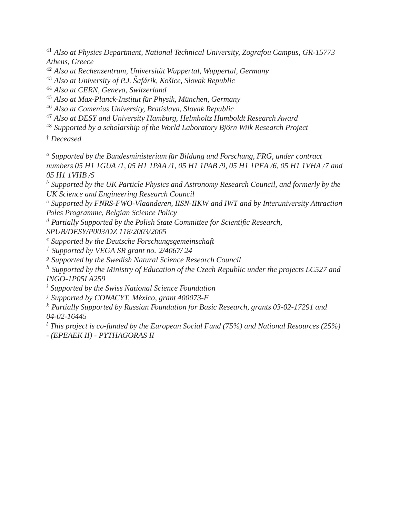<sup>41</sup> *Also at Physics Department, National Technical University, Zografou Campus, GR-15773 Athens, Greece*

<sup>42</sup> *Also at Rechenzentrum, Universitat Wuppertal, Wuppertal, Germany ¨*

<sup>43</sup> Also at University of P.J. Šafárik, Košice, Slovak Republic

<sup>44</sup> *Also at CERN, Geneva, Switzerland*

<sup>45</sup> Also at Max-Planck-Institut für Physik, München, Germany

<sup>46</sup> *Also at Comenius University, Bratislava, Slovak Republic*

<sup>47</sup> *Also at DESY and University Hamburg, Helmholtz Humboldt Research Award*

<sup>48</sup> Supported by a scholarship of the World Laboratory Björn Wiik Research Project

† *Deceased*

<sup>a</sup> *Supported by the Bundesministerium fur Bildung und Forschung, FRG, under contract ¨ numbers 05 H1 1GUA /1, 05 H1 1PAA /1, 05 H1 1PAB /9, 05 H1 1PEA /6, 05 H1 1VHA /7 and 05 H1 1VHB /5*

<sup>b</sup> *Supported by the UK Particle Physics and Astronomy Research Council, and formerly by the UK Science and Engineering Research Council*

<sup>c</sup> *Supported by FNRS-FWO-Vlaanderen, IISN-IIKW and IWT and by Interuniversity Attraction Poles Programme, Belgian Science Policy*

<sup>d</sup> *Partially Supported by the Polish State Committee for Scientific Research,*

*SPUB/DESY/P003/DZ 118/2003/2005*

<sup>e</sup> *Supported by the Deutsche Forschungsgemeinschaft*

<sup>f</sup> *Supported by VEGA SR grant no. 2/4067/ 24*

<sup>g</sup> *Supported by the Swedish Natural Science Research Council*

<sup>h</sup> *Supported by the Ministry of Education of the Czech Republic under the projects LC527 and INGO-1P05LA259*

<sup>i</sup> *Supported by the Swiss National Science Foundation*

<sup>j</sup> *Supported by CONACYT, Mexico, grant 400073-F ´*

<sup>k</sup> *Partially Supported by Russian Foundation for Basic Research, grants 03-02-17291 and 04-02-16445*

<sup>l</sup> *This project is co-funded by the European Social Fund (75%) and National Resources (25%)*

*- (EPEAEK II) - PYTHAGORAS II*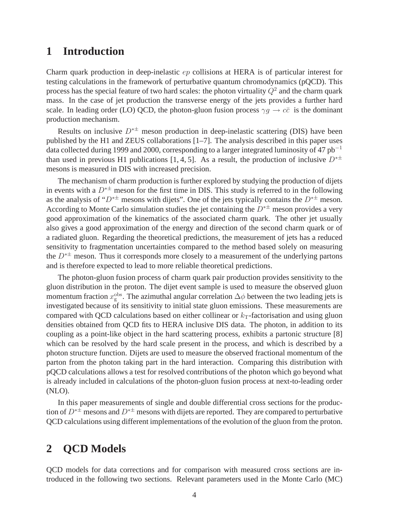### **1 Introduction**

Charm quark production in deep-inelastic ep collisions at HERA is of particular interest for testing calculations in the framework of perturbative quantum chromodynamics (pQCD). This process has the special feature of two hard scales: the photon virtuality  $Q^2$  and the charm quark mass. In the case of jet production the transverse energy of the jets provides a further hard scale. In leading order (LO) QCD, the photon-gluon fusion process  $\gamma g \to c\bar{c}$  is the dominant production mechanism.

Results on inclusive  $D^{*\pm}$  meson production in deep-inelastic scattering (DIS) have been published by the H1 and ZEUS collaborations [1–7]. The analysis described in this paper uses data collected during 1999 and 2000, corresponding to a larger integrated luminosity of 47  $pb^{-1}$ than used in previous H1 publications [1, 4, 5]. As a result, the production of inclusive  $D^{*\pm}$ mesons is measured in DIS with increased precision.

The mechanism of charm production is further explored by studying the production of dijets in events with a  $D^{*\pm}$  meson for the first time in DIS. This study is referred to in the following as the analysis of " $D^{* \pm}$  mesons with dijets". One of the jets typically contains the  $D^{* \pm}$  meson. According to Monte Carlo simulation studies the jet containing the  $D^{* \pm}$  meson provides a very good approximation of the kinematics of the associated charm quark. The other jet usually also gives a good approximation of the energy and direction of the second charm quark or of a radiated gluon. Regarding the theoretical predictions, the measurement of jets has a reduced sensitivity to fragmentation uncertainties compared to the method based solely on measuring the  $D^{* \pm}$  meson. Thus it corresponds more closely to a measurement of the underlying partons and is therefore expected to lead to more reliable theoretical predictions.

The photon-gluon fusion process of charm quark pair production provides sensitivity to the gluon distribution in the proton. The dijet event sample is used to measure the observed gluon momentum fraction  $x_g^{\text{obs}}$ . The azimuthal angular correlation  $\Delta \phi$  between the two leading jets is investigated because of its sensitivity to initial state gluon emissions. These measurements are compared with QCD calculations based on either collinear or  $k<sub>T</sub>$ -factorisation and using gluon densities obtained from QCD fits to HERA inclusive DIS data. The photon, in addition to its coupling as a point-like object in the hard scattering process, exhibits a partonic structure [8] which can be resolved by the hard scale present in the process, and which is described by a photon structure function. Dijets are used to measure the observed fractional momentum of the parton from the photon taking part in the hard interaction. Comparing this distribution with pQCD calculations allows a test for resolved contributions of the photon which go beyond what is already included in calculations of the photon-gluon fusion process at next-to-leading order (NLO).

In this paper measurements of single and double differential cross sections for the production of  $D^{* \pm}$  mesons and  $D^{* \pm}$  mesons with dijets are reported. They are compared to perturbative QCD calculations using different implementations of the evolution of the gluon from the proton.

## **2 QCD Models**

QCD models for data corrections and for comparison with measured cross sections are introduced in the following two sections. Relevant parameters used in the Monte Carlo (MC)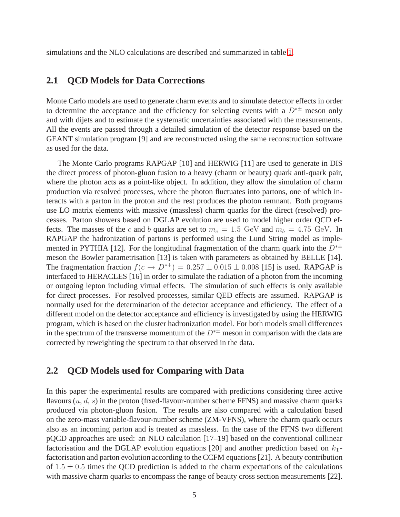simulations and the NLO calculations are described and summarized in table [1.](#page-6-0)

#### **2.1 QCD Models for Data Corrections**

Monte Carlo models are used to generate charm events and to simulate detector effects in order to determine the acceptance and the efficiency for selecting events with a  $D^{* \pm}$  meson only and with dijets and to estimate the systematic uncertainties associated with the measurements. All the events are passed through a detailed simulation of the detector response based on the GEANT simulation program [9] and are reconstructed using the same reconstruction software as used for the data.

The Monte Carlo programs RAPGAP [10] and HERWIG [11] are used to generate in DIS the direct process of photon-gluon fusion to a heavy (charm or beauty) quark anti-quark pair, where the photon acts as a point-like object. In addition, they allow the simulation of charm production via resolved processes, where the photon fluctuates into partons, one of which interacts with a parton in the proton and the rest produces the photon remnant. Both programs use LO matrix elements with massive (massless) charm quarks for the direct (resolved) processes. Parton showers based on DGLAP evolution are used to model higher order QCD effects. The masses of the c and b quarks are set to  $m_c = 1.5$  GeV and  $m_b = 4.75$  GeV. In RAPGAP the hadronization of partons is performed using the Lund String model as implemented in PYTHIA [12]. For the longitudinal fragmentation of the charm quark into the  $D^{*\pm}$ meson the Bowler parametrisation [13] is taken with parameters as obtained by BELLE [14]. The fragmentation fraction  $f(c \rightarrow D^{*+}) = 0.257 \pm 0.015 \pm 0.008$  [15] is used. RAPGAP is interfaced to HERACLES [16] in order to simulate the radiation of a photon from the incoming or outgoing lepton including virtual effects. The simulation of such effects is only available for direct processes. For resolved processes, similar QED effects are assumed. RAPGAP is normally used for the determination of the detector acceptance and efficiency. The effect of a different model on the detector acceptance and efficiency is investigated by using the HERWIG program, which is based on the cluster hadronization model. For both models small differences in the spectrum of the transverse momentum of the  $D^{* \pm}$  meson in comparison with the data are corrected by reweighting the spectrum to that observed in the data.

#### **2.2 QCD Models used for Comparing with Data**

In this paper the experimental results are compared with predictions considering three active flavours  $(u, d, s)$  in the proton (fixed-flavour-number scheme FFNS) and massive charm quarks produced via photon-gluon fusion. The results are also compared with a calculation based on the zero-mass variable-flavour-number scheme (ZM-VFNS), where the charm quark occurs also as an incoming parton and is treated as massless. In the case of the FFNS two different pQCD approaches are used: an NLO calculation [17–19] based on the conventional collinear factorisation and the DGLAP evolution equations [20] and another prediction based on  $k_T$ factorisation and parton evolution according to the CCFM equations [21]. A beauty contribution of  $1.5 \pm 0.5$  times the QCD prediction is added to the charm expectations of the calculations with massive charm quarks to encompass the range of beauty cross section measurements [22].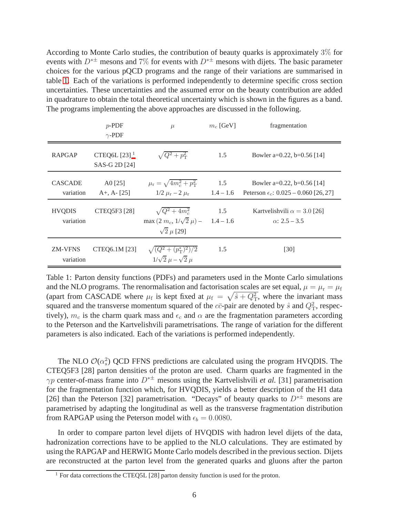According to Monte Carlo studies, the contribution of beauty quarks is approximately 3% for events with  $D^{*\pm}$  mesons and 7% for events with  $D^{*\pm}$  mesons with dijets. The basic parameter choices for the various pQCD programs and the range of their variations are summarised in table [1.](#page-6-0) Each of the variations is performed independently to determine specific cross section uncertainties. These uncertainties and the assumed error on the beauty contribution are added in quadrature to obtain the total theoretical uncertainty which is shown in the figures as a band. The programs implementing the above approaches are discussed in the following.

|                             | $p$ -PDF<br>$\gamma$ -PDF                   | $\mu$                                                                           | $m_c$ [GeV]        | fragmentation                                                                |
|-----------------------------|---------------------------------------------|---------------------------------------------------------------------------------|--------------------|------------------------------------------------------------------------------|
| <b>RAPGAP</b>               | CTEQ6L $[23]$ <sup>1</sup><br>SAS-G 2D [24] | $\sqrt{Q^2+p_{\rm T}^2}$                                                        | 1.5                | Bowler a=0.22, b=0.56 [14]                                                   |
| <b>CASCADE</b><br>variation | $A0$ [25]<br>$A+$ , $A-$ [25]               | $\mu_{\rm r} = \sqrt{4m_c^2 + p_{\rm T}^2}$<br>$1/2 \mu_r - 2 \mu_r$            | 1.5<br>$1.4 - 1.6$ | Bowler a=0.22, b=0.56 [14]<br>Peterson $\epsilon_c$ : 0.025 – 0.060 [26, 27] |
| <b>HVQDIS</b><br>variation  | <b>CTEQ5F3</b> [28]                         | $\sqrt{Q^2+4m_c^2}$<br>max $(2 m_c, 1/\sqrt{2} \mu)$ –<br>$\sqrt{2}$ $\mu$ [29] | 1.5<br>$1.4 - 1.6$ | Kartvelishvili $\alpha = 3.0$ [26]<br>$\alpha$ : 2.5 – 3.5                   |
| <b>ZM-VFNS</b><br>variation | CTEQ6.1M [23]                               | $\sqrt{(Q^2+(p_{\rm T}^*)^2)/2}$<br>$1/\sqrt{2} \mu - \sqrt{2} \mu$             | 1.5                | [30]                                                                         |

<span id="page-6-0"></span>Table 1: Parton density functions (PDFs) and parameters used in the Monte Carlo simulations and the NLO programs. The renormalisation and factorisation scales are set equal,  $\mu = \mu_r = \mu_f$ (apart from CASCADE where  $\mu_f$  is kept fixed at  $\mu_f = \sqrt{\hat{s} + Q_T^2}$ , where the invariant mass squared and the transverse momentum squared of the  $c\bar{c}$ -pair are denoted by  $\hat{s}$  and  $Q_T^2$ , respectively),  $m_c$  is the charm quark mass and  $\epsilon_c$  and  $\alpha$  are the fragmentation parameters according to the Peterson and the Kartvelishvili parametrisations. The range of variation for the different parameters is also indicated. Each of the variations is performed independently.

The NLO  $\mathcal{O}(\alpha_s^2)$  QCD FFNS predictions are calculated using the program HVQDIS. The CTEQ5F3 [28] parton densities of the proton are used. Charm quarks are fragmented in the  $\gamma p$  center-of-mass frame into  $D^{*\pm}$  mesons using the Kartvelishvili *et al.* [31] parametrisation for the fragmentation function which, for HVQDIS, yields a better description of the H1 data [26] than the Peterson [32] parametrisation. "Decays" of beauty quarks to  $D^{* \pm}$  mesons are parametrised by adapting the longitudinal as well as the transverse fragmentation distribution from RAPGAP using the Peterson model with  $\epsilon_b = 0.0080$ .

In order to compare parton level dijets of HVQDIS with hadron level dijets of the data, hadronization corrections have to be applied to the NLO calculations. They are estimated by using the RAPGAP and HERWIG Monte Carlo models described in the previous section. Dijets are reconstructed at the parton level from the generated quarks and gluons after the parton

<sup>&</sup>lt;sup>1</sup> For data corrections the CTEQ5L [28] parton density function is used for the proton.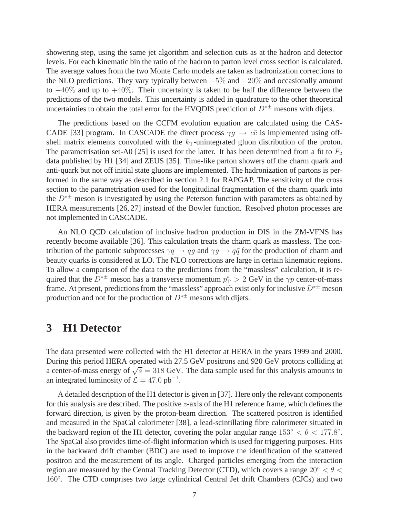showering step, using the same jet algorithm and selection cuts as at the hadron and detector levels. For each kinematic bin the ratio of the hadron to parton level cross section is calculated. The average values from the two Monte Carlo models are taken as hadronization corrections to the NLO predictions. They vary typically between  $-5\%$  and  $-20\%$  and occasionally amount to  $-40\%$  and up to  $+40\%$ . Their uncertainty is taken to be half the difference between the predictions of the two models. This uncertainty is added in quadrature to the other theoretical uncertainties to obtain the total error for the HVQDIS prediction of  $D^{* \pm}$  mesons with dijets.

The predictions based on the CCFM evolution equation are calculated using the CAS-CADE [33] program. In CASCADE the direct process  $\gamma g \to c\bar{c}$  is implemented using offshell matrix elements convoluted with the  $k<sub>T</sub>$ -unintegrated gluon distribution of the proton. The parametrisation set-A0 [25] is used for the latter. It has been determined from a fit to  $F_2$ data published by H1 [34] and ZEUS [35]. Time-like parton showers off the charm quark and anti-quark but not off initial state gluons are implemented. The hadronization of partons is performed in the same way as described in section 2.1 for RAPGAP. The sensitivity of the cross section to the parametrisation used for the longitudinal fragmentation of the charm quark into the  $D^{*\pm}$  meson is investigated by using the Peterson function with parameters as obtained by HERA measurements [26, 27] instead of the Bowler function. Resolved photon processes are not implemented in CASCADE.

An NLO QCD calculation of inclusive hadron production in DIS in the ZM-VFNS has recently become available [36]. This calculation treats the charm quark as massless. The contribution of the partonic subprocesses  $\gamma q \to q\bar{q}$  and  $\gamma q \to q\bar{q}$  for the production of charm and beauty quarks is considered at LO. The NLO corrections are large in certain kinematic regions. To allow a comparison of the data to the predictions from the "massless" calculation, it is required that the  $D^{*\pm}$  meson has a transverse momentum  $p_T^* > 2 \text{ GeV}$  in the  $\gamma p$  center-of-mass frame. At present, predictions from the "massless" approach exist only for inclusive  $D^{* \pm}$  meson production and not for the production of  $D^{* \pm}$  mesons with dijets.

#### **3 H1 Detector**

The data presented were collected with the H1 detector at HERA in the years 1999 and 2000. During this period HERA operated with 27.5 GeV positrons and 920 GeV protons colliding at a center-of-mass energy of  $\sqrt{s} = 318$  GeV. The data sample used for this analysis amounts to an integrated luminosity of  $\mathcal{L} = 47.0 \text{ pb}^{-1}$ .

A detailed description of the H1 detector is given in [37]. Here only the relevant components for this analysis are described. The positive z-axis of the H1 reference frame, which defines the forward direction, is given by the proton-beam direction. The scattered positron is identified and measured in the SpaCal calorimeter [38], a lead-scintillating fibre calorimeter situated in the backward region of the H1 detector, covering the polar angular range  $153° < \theta < 177.8°$ . The SpaCal also provides time-of-flight information which is used for triggering purposes. Hits in the backward drift chamber (BDC) are used to improve the identification of the scattered positron and the measurement of its angle. Charged particles emerging from the interaction region are measured by the Central Tracking Detector (CTD), which covers a range  $20° < \theta <$ 160°. The CTD comprises two large cylindrical Central Jet drift Chambers (CJCs) and two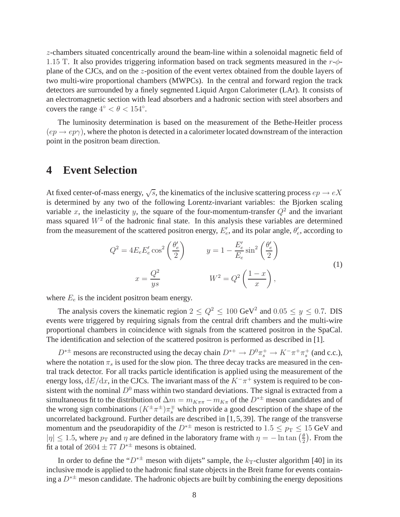z-chambers situated concentrically around the beam-line within a solenoidal magnetic field of 1.15 T. It also provides triggering information based on track segments measured in the  $r-\phi$ plane of the CJCs, and on the z-position of the event vertex obtained from the double layers of two multi-wire proportional chambers (MWPCs). In the central and forward region the track detectors are surrounded by a finely segmented Liquid Argon Calorimeter (LAr). It consists of an electromagnetic section with lead absorbers and a hadronic section with steel absorbers and covers the range  $4^{\circ} < \theta < 154^{\circ}$ .

The luminosity determination is based on the measurement of the Bethe-Heitler process  $(ep \rightarrow ep\gamma)$ , where the photon is detected in a calorimeter located downstream of the interaction point in the positron beam direction.

#### **4 Event Selection**

At fixed center-of-mass energy,  $\sqrt{s}$ , the kinematics of the inclusive scattering process  $ep \rightarrow eX$ is determined by any two of the following Lorentz-invariant variables: the Bjorken scaling variable x, the inelasticity y, the square of the four-momentum-transfer  $Q^2$  and the invariant mass squared  $W<sup>2</sup>$  of the hadronic final state. In this analysis these variables are determined from the measurement of the scattered positron energy,  $E'_{e}$ , and its polar angle,  $\theta'_{e}$ , according to

$$
Q^{2} = 4E_{e}E'_{e}\cos^{2}\left(\frac{\theta'_{e}}{2}\right) \qquad y = 1 - \frac{E'_{e}}{E_{e}}\sin^{2}\left(\frac{\theta'_{e}}{2}\right)
$$

$$
x = \frac{Q^{2}}{ys} \qquad W^{2} = Q^{2}\left(\frac{1-x}{x}\right), \qquad (1)
$$

where  $E_e$  is the incident positron beam energy.

The analysis covers the kinematic region  $2 \le Q^2 \le 100 \text{ GeV}^2$  and  $0.05 \le y \le 0.7$ . DIS events were triggered by requiring signals from the central drift chambers and the multi-wire proportional chambers in coincidence with signals from the scattered positron in the SpaCal. The identification and selection of the scattered positron is performed as described in [1].

 $D^{*\pm}$  mesons are reconstructed using the decay chain  $D^{*+} \to D^0 \pi_s^+ \to K^- \pi^+ \pi_s^+$  (and c.c.), where the notation  $\pi_s$  is used for the slow pion. The three decay tracks are measured in the central track detector. For all tracks particle identification is applied using the measurement of the energy loss,  $dE/dx$ , in the CJCs. The invariant mass of the  $K^-\pi^+$  system is required to be consistent with the nominal  $D^0$  mass within two standard deviations. The signal is extracted from a simultaneous fit to the distribution of  $\Delta m = m_{K\pi\pi} - m_{K\pi}$  of the  $D^{* \pm}$  meson candidates and of the wrong sign combinations  $(K^{\pm}\pi^{\pm})\pi^{\mp}_s$  which provide a good description of the shape of the uncorrelated background. Further details are described in [1,5,39]. The range of the transverse momentum and the pseudorapidity of the  $D^{* \pm}$  meson is restricted to 1.5  $\leq p_T \leq 15$  GeV and  $|\eta| \le 1.5$ , where  $p_T$  and  $\eta$  are defined in the laboratory frame with  $\eta = -\ln \tan \left(\frac{\theta}{2}\right)$  $\frac{\theta}{2}$ ). From the fit a total of 2604  $\pm$  77  $D^{*\pm}$  mesons is obtained.

In order to define the " $D^{* \pm}$  meson with dijets" sample, the  $k_T$ -cluster algorithm [40] in its inclusive mode is applied to the hadronic final state objects in the Breit frame for events containing a  $D^{* \pm}$  meson candidate. The hadronic objects are built by combining the energy depositions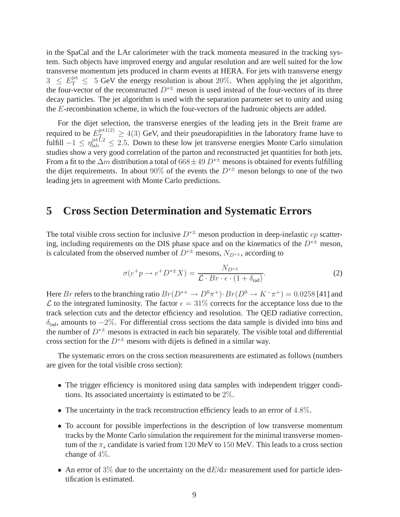in the SpaCal and the LAr calorimeter with the track momenta measured in the tracking system. Such objects have improved energy and angular resolution and are well suited for the low transverse momentum jets produced in charm events at HERA. For jets with transverse energy  $3 \le E_{\rm T}^{\rm jet} \le 5$  GeV the energy resolution is about 20%. When applying the jet algorithm, the four-vector of the reconstructed  $D^*$  meson is used instead of the four-vectors of its three decay particles. The jet algorithm is used with the separation parameter set to unity and using the E-recombination scheme, in which the four-vectors of the hadronic objects are added.

For the dijet selection, the transverse energies of the leading jets in the Breit frame are required to be  $E_{\text{ref}}^{\text{jet1(2)}} \ge 4(3)$  GeV, and their pseudorapidities in the laboratory frame have to fulfill  $-1 \le \eta_{\text{lab}}^{\text{jet},2} \le 2.5$ . Down to these low jet transverse energies Monte Carlo simulation studies show a very good correlation of the parton and reconstructed jet quantities for both jets. From a fit to the  $\Delta m$  distribution a total of 668 ± 49  $D^{*\pm}$  mesons is obtained for events fulfilling the dijet requirements. In about 90% of the events the  $D^{*\pm}$  meson belongs to one of the two leading jets in agreement with Monte Carlo predictions.

#### **5 Cross Section Determination and Systematic Errors**

The total visible cross section for inclusive  $D^{*\pm}$  meson production in deep-inelastic  $ep$  scattering, including requirements on the DIS phase space and on the kinematics of the  $D^{* \pm}$  meson, is calculated from the observed number of  $D^{* \pm}$  mesons,  $N_{D^{* \pm}}$ , according to

$$
\sigma(e^+p \to e^+D^{*\pm}X) = \frac{N_{D^{*\pm}}}{\mathcal{L} \cdot Br \cdot \epsilon \cdot (1 + \delta_{\text{rad}})}.
$$
\n(2)

Here Br refers to the branching ratio  $Br(D^{*+} \to D^0 \pi^+) \cdot Br(D^0 \to K^- \pi^+) = 0.0258$  [41] and  $\mathcal L$  to the integrated luminosity. The factor  $\epsilon = 31\%$  corrects for the acceptance loss due to the track selection cuts and the detector efficiency and resolution. The QED radiative correction,  $\delta_{rad}$ , amounts to  $-2\%$ . For differential cross sections the data sample is divided into bins and the number of  $D^{*\pm}$  mesons is extracted in each bin separately. The visible total and differential cross section for the  $D^{*\pm}$  mesons with dijets is defined in a similar way.

The systematic errors on the cross section measurements are estimated as follows (numbers are given for the total visible cross section):

- The trigger efficiency is monitored using data samples with independent trigger conditions. Its associated uncertainty is estimated to be 2%.
- The uncertainty in the track reconstruction efficiency leads to an error of 4.8%.
- To account for possible imperfections in the description of low transverse momentum tracks by the Monte Carlo simulation the requirement for the minimal transverse momentum of the  $\pi_s$  candidate is varied from 120 MeV to 150 MeV. This leads to a cross section change of 4%.
- An error of 3% due to the uncertainty on the  $dE/dx$  measurement used for particle identification is estimated.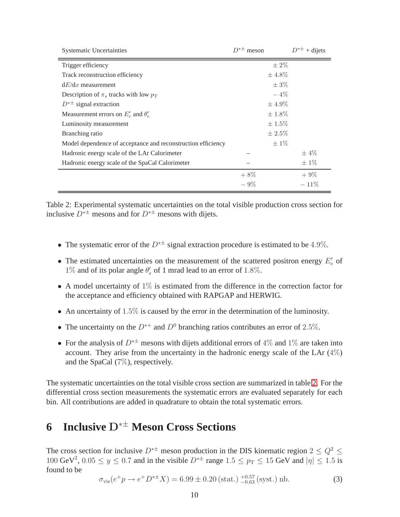| <b>Systematic Uncertainties</b>                              | $D^{*\pm}$ meson | $D^{*\pm}$<br>$+$ dijets |
|--------------------------------------------------------------|------------------|--------------------------|
| Trigger efficiency                                           |                  | $\pm 2\%$                |
| Track reconstruction efficiency                              | $\pm 4.8\%$      |                          |
| $dE/dx$ measurement                                          |                  | $\pm$ 3\%                |
| Description of $\pi_s$ tracks with low $p_T$                 |                  | $-4\%$                   |
| $D^{*\pm}$ signal extraction                                 | $\pm 4.9\%$      |                          |
| Measurement errors on $E_e'$ and $\theta_e'$                 | $\pm 1.8\%$      |                          |
| Luminosity measurement                                       | $\pm 1.5\%$      |                          |
| Branching ratio                                              | $\pm 2.5\%$      |                          |
| Model dependence of acceptance and reconstruction efficiency |                  | $\pm 1\%$                |
| Hadronic energy scale of the LAr Calorimeter                 |                  | $\pm 4\%$                |
| Hadronic energy scale of the SpaCal Calorimeter              |                  | $\pm 1\%$                |
|                                                              | $+8\%$           | $+9\%$                   |
|                                                              | $-9\%$           | $-11\%$                  |

<span id="page-10-0"></span>Table 2: Experimental systematic uncertainties on the total visible production cross section for inclusive  $D^{*\pm}$  mesons and for  $D^{*\pm}$  mesons with dijets.

- The systematic error of the  $D^{*\pm}$  signal extraction procedure is estimated to be 4.9%.
- The estimated uncertainties on the measurement of the scattered positron energy  $E'_e$  of 1% and of its polar angle  $\theta'_e$  of 1 mrad lead to an error of 1.8%.
- A model uncertainty of 1% is estimated from the difference in the correction factor for the acceptance and efficiency obtained with RAPGAP and HERWIG.
- An uncertainty of  $1.5\%$  is caused by the error in the determination of the luminosity.
- The uncertainty on the  $D^{*+}$  and  $D^0$  branching ratios contributes an error of 2.5%.
- For the analysis of  $D^{*\pm}$  mesons with dijets additional errors of 4% and 1% are taken into account. They arise from the uncertainty in the hadronic energy scale of the LAr  $(4\%)$ and the SpaCal (7%), respectively.

The systematic uncertainties on the total visible cross section are summarized in table [2.](#page-10-0) For the differential cross section measurements the systematic errors are evaluated separately for each bin. All contributions are added in quadrature to obtain the total systematic errors.

## **6 Inclusive** D∗± **Meson Cross Sections**

The cross section for inclusive  $D^{* \pm}$  meson production in the DIS kinematic region  $2 \leq Q^2 \leq$ 100 GeV<sup>2</sup>, 0.05  $\leq y \leq 0.7$  and in the visible  $D^{*\pm}$  range 1.5  $\leq p_T \leq 15$  GeV and  $|\eta| \leq 1.5$  is found to be

$$
\sigma_{\rm vis}(e^+p \to e^+D^{*\pm}X) = 6.99 \pm 0.20 \, (\text{stat.}) \, \, {}^{+0.57}_{-0.63} \, (\text{syst.}) \, \text{nb.} \tag{3}
$$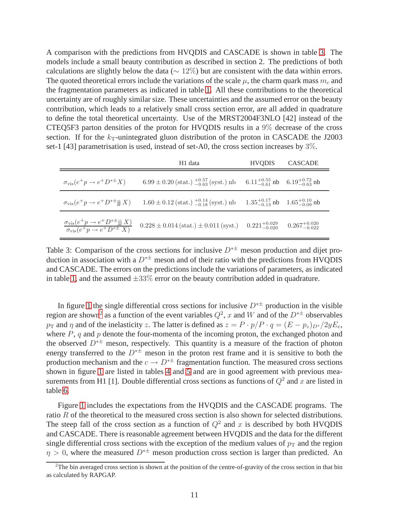A comparison with the predictions from HVQDIS and CASCADE is shown in table [3.](#page-11-0) The models include a small beauty contribution as described in section 2. The predictions of both calculations are slightly below the data ( $\sim 12\%$ ) but are consistent with the data within errors. The quoted theoretical errors include the variations of the scale  $\mu$ , the charm quark mass  $m_c$  and the fragmentation parameters as indicated in table [1.](#page-6-0) All these contributions to the theoretical uncertainty are of roughly similar size. These uncertainties and the assumed error on the beauty contribution, which leads to a relatively small cross section error, are all added in quadrature to define the total theoretical uncertainty. Use of the MRST2004F3NLO [42] instead of the CTEQ5F3 parton densities of the proton for HVQDIS results in a 9% decrease of the cross section. If for the  $k_T$ -unintegrated gluon distribution of the proton in CASCADE the J2003 set-1 [43] parametrisation is used, instead of set-A0, the cross section increases by  $3\%$ .

|                                                          | H1 data                                                                                                                                                                                                                      | <b>HVODIS</b> | CASCADE |
|----------------------------------------------------------|------------------------------------------------------------------------------------------------------------------------------------------------------------------------------------------------------------------------------|---------------|---------|
| $\sigma_{\text{vis}}(e^+p \rightarrow e^+D^{*\pm}X)$     | $6.99 \pm 0.20$ (stat.) $^{+0.57}_{-0.63}$ (syst.) nb $6.11^{+0.55}_{-0.61}$ nb $6.19^{+0.72}_{-0.63}$ nb                                                                                                                    |               |         |
| $\sigma_{\text{vis}}(e^+p \rightarrow e^+D^{*\pm}$ jj X) | $1.60 \pm 0.12$ (stat.) $^{+0.14}_{-0.18}$ (syst.) nb $1.35^{+0.17}_{-0.13}$ nb $1.65^{+0.10}_{-0.09}$ nb                                                                                                                    |               |         |
|                                                          | $\frac{\sigma_{\text{vis}}(e^+p \to e^+D^{*\pm} \text{jj }X)}{\sigma_{\text{vis}}(e^+p \to e^+D^{*\pm} X)}$ 0.228 ± 0.014 (stat.) ± 0.011 (syst.) 0.221 <sup>+0.029</sup> 0.267 <sup>+0.020</sup><br>0.225 <sup>-6.020</sup> |               |         |

<span id="page-11-0"></span>Table 3: Comparison of the cross sections for inclusive  $D^{*\pm}$  meson production and dijet production in association with a  $D^{* \pm}$  meson and of their ratio with the predictions from HVQDIS and CASCADE. The errors on the predictions include the variations of parameters, as indicated in table [1,](#page-6-0) and the assumed  $\pm 33\%$  error on the beauty contribution added in quadrature.

In figure [1](#page-25-0) the single differential cross sections for inclusive  $D^{* \pm}$  production in the visible region are shown<sup>[2](#page-11-1)</sup> as a function of the event variables  $Q^2$ , x and W and of the  $D^{*\pm}$  observables  $p_{\text{T}}$  and  $\eta$  and of the inelasticity z. The latter is defined as  $z = P \cdot p/P \cdot q = (E - p_z)_{D^*}/2yE_e$ , where  $P$ , q and  $p$  denote the four-momenta of the incoming proton, the exchanged photon and the observed  $D^{* \pm}$  meson, respectively. This quantity is a measure of the fraction of photon energy transferred to the  $D^{* \pm}$  meson in the proton rest frame and it is sensitive to both the production mechanism and the  $c \to D^{*\pm}$  fragmentation function. The measured cross sections shown in figure [1](#page-25-0) are listed in tables [4](#page-19-0) and [5](#page-20-0) and are in good agreement with previous measurements from H1 [1]. Double differential cross sections as functions of  $Q^2$  and x are listed in table [6.](#page-20-1)

Figure [1](#page-25-0) includes the expectations from the HVQDIS and the CASCADE programs. The ratio R of the theoretical to the measured cross section is also shown for selected distributions. The steep fall of the cross section as a function of  $Q^2$  and x is described by both HVQDIS and CASCADE. There is reasonable agreement between HVQDIS and the data for the different single differential cross sections with the exception of the medium values of  $p_T$  and the region  $\eta > 0$ , where the measured  $D^{*\pm}$  meson production cross section is larger than predicted. An

<span id="page-11-1"></span> $2$ The bin averaged cross section is shown at the position of the centre-of-gravity of the cross section in that bin as calculated by RAPGAP.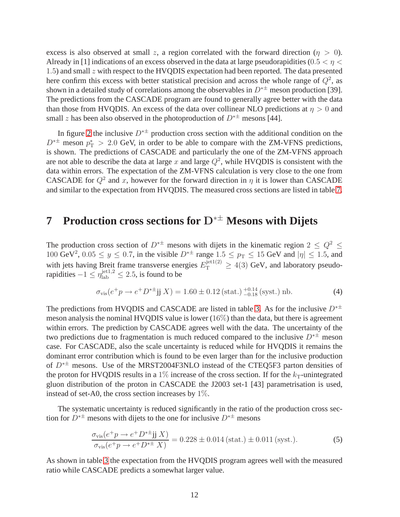excess is also observed at small z, a region correlated with the forward direction ( $\eta > 0$ ). Already in [1] indications of an excess observed in the data at large pseudorapidities ( $0.5 < \eta <$ 1.5) and small z with respect to the HVQDIS expectation had been reported. The data presented here confirm this excess with better statistical precision and across the whole range of  $Q^2$ , as shown in a detailed study of correlations among the observables in  $D^{* \pm}$  meson production [39]. The predictions from the CASCADE program are found to generally agree better with the data than those from HVQDIS. An excess of the data over collinear NLO predictions at  $\eta > 0$  and small z has been also observed in the photoproduction of  $D^{* \pm}$  mesons [44].

In figure [2](#page-26-0) the inclusive  $D^{*\pm}$  production cross section with the additional condition on the  $D^{*\pm}$  meson  $p_T^* > 2.0$  GeV, in order to be able to compare with the ZM-VFNS predictions, is shown. The predictions of CASCADE and particularly the one of the ZM-VFNS approach are not able to describe the data at large x and large  $Q^2$ , while HVQDIS is consistent with the data within errors. The expectation of the ZM-VFNS calculation is very close to the one from CASCADE for  $Q^2$  and x, however for the forward direction in  $\eta$  it is lower than CASCADE and similar to the expectation from HVQDIS. The measured cross sections are listed in table [7.](#page-21-0)

## **7 Production cross sections for** D∗± **Mesons with Dijets**

The production cross section of  $D^{*\pm}$  mesons with dijets in the kinematic region  $2 \leq Q^2 \leq$  $100 \text{ GeV}^2$ ,  $0.05 \le y \le 0.7$ , in the visible  $D^{*\pm}$  range  $1.5 \le p_T \le 15 \text{ GeV}$  and  $|\eta| \le 1.5$ , and with jets having Breit frame transverse energies  $E_{\rm T}^{\rm jet1(2)} \geq 4(3)$  GeV, and laboratory pseudorapidities  $-1 \le \eta_{\text{lab}}^{\text{jet1,2}} \le 2.5$ , is found to be

$$
\sigma_{\rm vis}(e^+p \to e^+D^{*\pm} \text{jj } X) = 1.60 \pm 0.12 \, (\text{stat.})^{\,+0.14}_{\,-0.18} \, (\text{syst.}) \, \text{nb.} \tag{4}
$$

The predictions from HVQDIS and CASCADE are listed in table [3.](#page-11-0) As for the inclusive  $D^{*\pm}$ meson analysis the nominal HVQDIS value is lower  $(16\%)$  than the data, but there is agreement within errors. The prediction by CASCADE agrees well with the data. The uncertainty of the two predictions due to fragmentation is much reduced compared to the inclusive  $D^{* \pm}$  meson case. For CASCADE, also the scale uncertainty is reduced while for HVQDIS it remains the dominant error contribution which is found to be even larger than for the inclusive production of D∗± mesons. Use of the MRST2004F3NLO instead of the CTEQ5F3 parton densities of the proton for HVQDIS results in a 1% increase of the cross section. If for the  $k_T$ -unintegrated gluon distribution of the proton in CASCADE the J2003 set-1 [43] parametrisation is used, instead of set-A0, the cross section increases by 1%.

The systematic uncertainty is reduced significantly in the ratio of the production cross section for  $D^{*\pm}$  mesons with dijets to the one for inclusive  $D^{*\pm}$  mesons

$$
\frac{\sigma_{\text{vis}}(e^+p \to e^+D^{*\pm}\text{jj }X)}{\sigma_{\text{vis}}(e^+p \to e^+D^{*\pm}X)} = 0.228 \pm 0.014 \text{ (stat.)} \pm 0.011 \text{ (syst.)}.
$$
\n(5)

As shown in table [3](#page-11-0) the expectation from the HVQDIS program agrees well with the measured ratio while CASCADE predicts a somewhat larger value.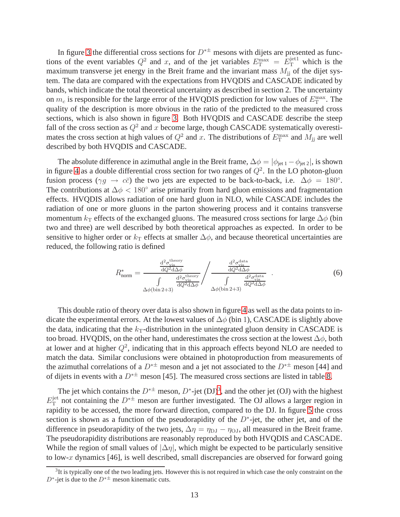In figure [3](#page-27-0) the differential cross sections for  $D^{* \pm}$  mesons with dijets are presented as functions of the event variables  $Q^2$  and x, and of the jet variables  $E_T^{\text{max}} = E_T^{\text{jet1}}$  which is the maximum transverse jet energy in the Breit frame and the invariant mass  $M_{ij}$  of the dijet system. The data are compared with the expectations from HVQDIS and CASCADE indicated by bands, which indicate the total theoretical uncertainty as described in section 2. The uncertainty on  $m_c$  is responsible for the large error of the HVQDIS prediction for low values of  $E_T^{\text{max}}$ . The quality of the description is more obvious in the ratio of the predicted to the measured cross sections, which is also shown in figure [3.](#page-27-0) Both HVQDIS and CASCADE describe the steep fall of the cross section as  $Q^2$  and x become large, though CASCADE systematically overestimates the cross section at high values of  $Q^2$  and x. The distributions of  $E_{\rm T}^{\rm max}$  and  $M_{\rm jj}$  are well described by both HVQDIS and CASCADE.

The absolute difference in azimuthal angle in the Breit frame,  $\Delta \phi = |\phi_{jet 1} - \phi_{jet 2}|$ , is shown in figure [4](#page-28-0) as a double differential cross section for two ranges of  $Q^2$ . In the LO photon-gluon fusion process ( $\gamma g \to c\bar{c}$ ) the two jets are expected to be back-to-back, i.e.  $\Delta \phi = 180^{\circ}$ . The contributions at  $\Delta \phi < 180^\circ$  arise primarily from hard gluon emissions and fragmentation effects. HVQDIS allows radiation of one hard gluon in NLO, while CASCADE includes the radiation of one or more gluons in the parton showering process and it contains transverse momentum  $k<sub>T</sub>$  effects of the exchanged gluons. The measured cross sections for large  $\Delta\phi$  (bin two and three) are well described by both theoretical approaches as expected. In order to be sensitive to higher order or  $k_T$  effects at smaller  $\Delta \phi$ , and because theoretical uncertainties are reduced, the following ratio is defined

$$
R_{\text{norm}}^{*} = \frac{\frac{\mathrm{d}^{2}\sigma_{\text{visy}}^{\text{theory}}}{\mathrm{d}Q^{2}\mathrm{d}\Delta\phi}}{\int \frac{\mathrm{d}^{2}\sigma_{\text{visy}}^{\text{theory}}}{\mathrm{d}Q^{2}\mathrm{d}\Delta\phi}} / \frac{\frac{\mathrm{d}^{2}\sigma_{\text{visy}}^{\text{data}}}{\mathrm{d}Q^{2}\mathrm{d}\Delta\phi}}{\int \frac{\mathrm{d}^{2}\sigma_{\text{visy}}^{\text{data}}}{\mathrm{d}Q^{2}\mathrm{d}\Delta\phi}} \quad . \tag{6}
$$

This double ratio of theory over data is also shown in figure [4](#page-28-0) as well as the data points to indicate the experimental errors. At the lowest values of  $\Delta\phi$  (bin 1), CASCADE is slightly above the data, indicating that the  $k<sub>T</sub>$ -distribution in the unintegrated gluon density in CASCADE is too broad. HVQDIS, on the other hand, underestimates the cross section at the lowest  $\Delta \phi$ , both at lower and at higher  $Q^2$ , indicating that in this approach effects beyond NLO are needed to match the data. Similar conclusions were obtained in photoproduction from measurements of the azimuthal correlations of a  $D^{* \pm}$  meson and a jet not associated to the  $D^{* \pm}$  meson [44] and of dijets in events with a  $D^{*\pm}$  meson [45]. The measured cross sections are listed in table [8.](#page-22-0)

The jet which contains the  $D^{*\pm}$  meson,  $D^*$ -jet (DJ)<sup>[3](#page-13-0)</sup>, and the other jet (OJ) with the highest  $E^{\rm jet}_{\rm T}$  $T<sub>T</sub><sup>jet</sup>$  not containing the  $D^{* \pm}$  meson are further investigated. The OJ allows a larger region in rapidity to be accessed, the more forward direction, compared to the DJ. In figure [5](#page-29-0) the cross section is shown as a function of the pseudorapidity of the  $D^*$ -jet, the other jet, and of the difference in pseudorapidity of the two jets,  $\Delta \eta = \eta_{\text{DJ}} - \eta_{\text{OJ}}$ , all measured in the Breit frame. The pseudorapidity distributions are reasonably reproduced by both HVQDIS and CASCADE. While the region of small values of  $|\Delta \eta|$ , which might be expected to be particularly sensitive to low-x dynamics [46], is well described, small discrepancies are observed for forward going

<span id="page-13-0"></span> $3$ It is typically one of the two leading jets. However this is not required in which case the only constraint on the  $D^*$ -jet is due to the  $D^{*\pm}$  meson kinematic cuts.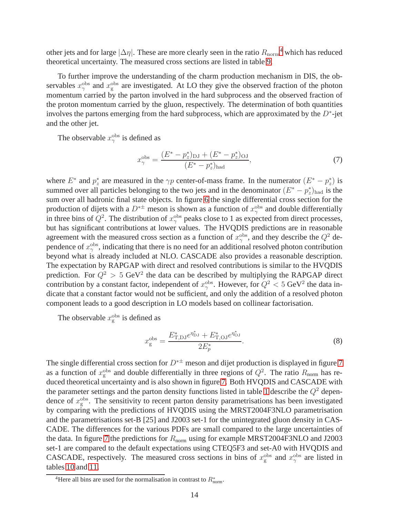other jets and for large  $|\Delta \eta|$ . These are more clearly seen in the ratio  $R_{\rm norm}$ <sup>[4](#page-14-0)</sup> which has reduced theoretical uncertainty. The measured cross sections are listed in table [9.](#page-23-0)

To further improve the understanding of the charm production mechanism in DIS, the observables  $x_{\gamma}^{\text{obs}}$  and  $x_{\text{g}}^{\text{obs}}$  are investigated. At LO they give the observed fraction of the photon momentum carried by the parton involved in the hard subprocess and the observed fraction of the proton momentum carried by the gluon, respectively. The determination of both quantities involves the partons emerging from the hard subprocess, which are approximated by the  $D^*$ -jet and the other jet.

The observable  $x_{\gamma}^{\text{obs}}$  is defined as

$$
x_{\gamma}^{\text{obs}} = \frac{(E^* - p_z^*)_{\text{DJ}} + (E^* - p_z^*)_{\text{OJ}}}{(E^* - p_z^*)_{\text{had}}},\tag{7}
$$

where  $E^*$  and  $p_z^*$  are measured in the  $\gamma p$  center-of-mass frame. In the numerator  $(E^* - p_z^*)$  is summed over all particles belonging to the two jets and in the denominator  $(E^* - p_z^*)_{had}$  is the sum over all hadronic final state objects. In figure [6](#page-30-0) the single differential cross section for the production of dijets with a  $D^{*\pm}$  meson is shown as a function of  $x_{\gamma}^{\text{obs}}$  and double differentially in three bins of  $Q^2$ . The distribution of  $x_{\gamma}^{\text{obs}}$  peaks close to 1 as expected from direct processes, but has significant contributions at lower values. The HVQDIS predictions are in reasonable agreement with the measured cross section as a function of  $x_{\gamma}^{\text{obs}}$ , and they describe the  $Q^2$  dependence of  $x_{\gamma}^{\text{obs}}$ , indicating that there is no need for an additional resolved photon contribution beyond what is already included at NLO. CASCADE also provides a reasonable description. The expectation by RAPGAP with direct and resolved contributions is similar to the HVQDIS prediction. For  $Q^2 > 5$  GeV<sup>2</sup> the data can be described by multiplying the RAPGAP direct contribution by a constant factor, independent of  $x_\gamma^{\text{obs}}$ . However, for  $Q^2 < 5$  GeV<sup>2</sup> the data indicate that a constant factor would not be sufficient, and only the addition of a resolved photon component leads to a good description in LO models based on collinear factorisation.

The observable  $x_g^{\text{obs}}$  is defined as

$$
x_g^{\text{obs}} = \frac{E_{\text{T,DJ}}^* e^{\eta_{\text{DJ}}^*} + E_{\text{T,OJ}}^* e^{\eta_{\text{OJ}}^*}}{2E_p^*}.
$$
\n(8)

The single differential cross section for  $D^{* \pm}$  meson and dijet production is displayed in figure [7](#page-31-0) as a function of  $x_g^{\text{obs}}$  and double differentially in three regions of  $Q^2$ . The ratio  $R_{\text{norm}}$  has reduced theoretical uncertainty and is also shown in figure [7.](#page-31-0) Both HVQDIS and CASCADE with the parameter settings and the parton density functions listed in table [1](#page-6-0) describe the  $Q^2$  dependence of  $x_g^{\text{obs}}$ . The sensitivity to recent parton density parametrisations has been investigated by comparing with the predictions of HVQDIS using the MRST2004F3NLO parametrisation and the parametrisations set-B [25] and J2003 set-1 for the unintegrated gluon density in CAS-CADE. The differences for the various PDFs are small compared to the large uncertainties of the data. In figure [7](#page-31-0) the predictions for  $R_{\text{norm}}$  using for example MRST2004F3NLO and J2003 set-1 are compared to the default expectations using CTEQ5F3 and set-A0 with HVQDIS and CASCADE, respectively. The measured cross sections in bins of  $x_g^{\text{obs}}$  and  $x_\gamma^{\text{obs}}$  are listed in tables [10](#page-23-1) and [11.](#page-24-0)

<span id="page-14-0"></span><sup>&</sup>lt;sup>4</sup>Here all bins are used for the normalisation in contrast to  $R^*_{\text{norm}}$ .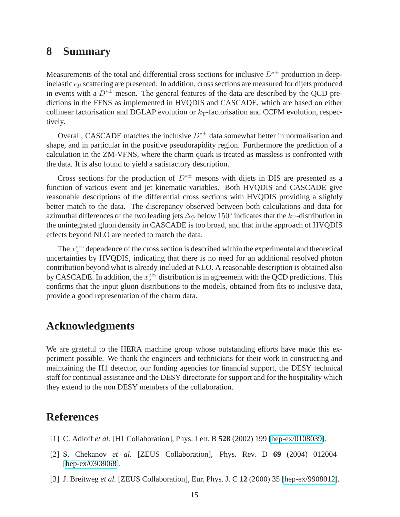#### **8 Summary**

Measurements of the total and differential cross sections for inclusive  $D^{* \pm}$  production in deepinelastic ep scattering are presented. In addition, cross sections are measured for dijets produced in events with a  $D^{*\pm}$  meson. The general features of the data are described by the QCD predictions in the FFNS as implemented in HVQDIS and CASCADE, which are based on either collinear factorisation and DGLAP evolution or  $k<sub>T</sub>$ -factorisation and CCFM evolution, respectively.

Overall, CASCADE matches the inclusive  $D^{* \pm}$  data somewhat better in normalisation and shape, and in particular in the positive pseudorapidity region. Furthermore the prediction of a calculation in the ZM-VFNS, where the charm quark is treated as massless is confronted with the data. It is also found to yield a satisfactory description.

Cross sections for the production of  $D^{* \pm}$  mesons with dijets in DIS are presented as a function of various event and jet kinematic variables. Both HVQDIS and CASCADE give reasonable descriptions of the differential cross sections with HVQDIS providing a slightly better match to the data. The discrepancy observed between both calculations and data for azimuthal differences of the two leading jets  $\Delta\phi$  below  $150^\circ$  indicates that the  $k_\text{T}$ -distribution in the unintegrated gluon density in CASCADE is too broad, and that in the approach of HVQDIS effects beyond NLO are needed to match the data.

The  $x_{\gamma}^{\text{obs}}$  dependence of the cross section is described within the experimental and theoretical uncertainties by HVQDIS, indicating that there is no need for an additional resolved photon contribution beyond what is already included at NLO. A reasonable description is obtained also by CASCADE. In addition, the  $x_g^{\text{obs}}$  distribution is in agreement with the QCD predictions. This confirms that the input gluon distributions to the models, obtained from fits to inclusive data, provide a good representation of the charm data.

#### **Acknowledgments**

We are grateful to the HERA machine group whose outstanding efforts have made this experiment possible. We thank the engineers and technicians for their work in constructing and maintaining the H1 detector, our funding agencies for financial support, the DESY technical staff for continual assistance and the DESY directorate for support and for the hospitality which they extend to the non DESY members of the collaboration.

### **References**

- [1] C. Adloff *et al.* [H1 Collaboration], Phys. Lett. B **528** (2002) 199 [\[hep-ex/0108039\]](http://arxiv.org/abs/hep-ex/0108039).
- [2] S. Chekanov *et al.* [ZEUS Collaboration], Phys. Rev. D **69** (2004) 012004 [\[hep-ex/0308068\]](http://arxiv.org/abs/hep-ex/0308068).
- [3] J. Breitweg *et al.* [ZEUS Collaboration], Eur. Phys. J. C **12** (2000) 35 [\[hep-ex/9908012\]](http://arxiv.org/abs/hep-ex/9908012).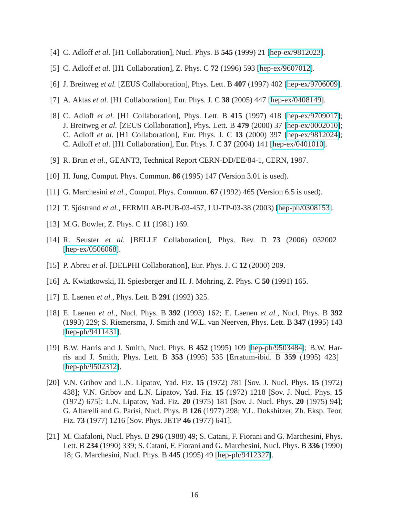- [4] C. Adloff *et al.* [H1 Collaboration], Nucl. Phys. B **545** (1999) 21 [\[hep-ex/9812023\]](http://arxiv.org/abs/hep-ex/9812023).
- [5] C. Adloff *et al.* [H1 Collaboration], Z. Phys. C **72** (1996) 593 [\[hep-ex/9607012\]](http://arxiv.org/abs/hep-ex/9607012).
- [6] J. Breitweg *et al.* [ZEUS Collaboration], Phys. Lett. B **407** (1997) 402 [\[hep-ex/9706009\]](http://arxiv.org/abs/hep-ex/9706009).
- [7] A. Aktas *et al.* [H1 Collaboration], Eur. Phys. J. C **38** (2005) 447 [\[hep-ex/0408149\]](http://arxiv.org/abs/hep-ex/0408149).
- [8] C. Adloff *et al.* [H1 Collaboration], Phys. Lett. B **415** (1997) 418 [\[hep-ex/9709017\]](http://arxiv.org/abs/hep-ex/9709017); J. Breitweg *et al.* [ZEUS Collaboration], Phys. Lett. B **479** (2000) 37 [\[hep-ex/0002010\]](http://arxiv.org/abs/hep-ex/0002010); C. Adloff *et al.* [H1 Collaboration], Eur. Phys. J. C **13** (2000) 397 [\[hep-ex/9812024\]](http://arxiv.org/abs/hep-ex/9812024); C. Adloff *et al.* [H1 Collaboration], Eur. Phys. J. C **37** (2004) 141 [\[hep-ex/0401010\]](http://arxiv.org/abs/hep-ex/0401010).
- [9] R. Brun *et al.*, GEANT3, Technical Report CERN-DD/EE/84-1, CERN, 1987.
- [10] H. Jung, Comput. Phys. Commun. **86** (1995) 147 (Version 3.01 is used).
- [11] G. Marchesini *et al.*, Comput. Phys. Commun. **67** (1992) 465 (Version 6.5 is used).
- [12] T. Sjöstrand *et al.*, FERMILAB-PUB-03-457, LU-TP-03-38 (2003) [\[hep-ph/0308153\]](http://arxiv.org/abs/hep-ph/0308153).
- [13] M.G. Bowler, Z. Phys. C **11** (1981) 169.
- [14] R. Seuster *et al.* [BELLE Collaboration], Phys. Rev. D **73** (2006) 032002 [\[hep-ex/0506068\]](http://arxiv.org/abs/hep-ex/0506068).
- [15] P. Abreu *et al.* [DELPHI Collaboration], Eur. Phys. J. C **12** (2000) 209.
- [16] A. Kwiatkowski, H. Spiesberger and H. J. Mohring, Z. Phys. C **50** (1991) 165.
- [17] E. Laenen *et al.*, Phys. Lett. B **291** (1992) 325.
- [18] E. Laenen *et al.*, Nucl. Phys. B **392** (1993) 162; E. Laenen *et al.*, Nucl. Phys. B **392** (1993) 229; S. Riemersma, J. Smith and W.L. van Neerven, Phys. Lett. B **347** (1995) 143 [\[hep-ph/9411431\]](http://arxiv.org/abs/hep-ph/9411431).
- [19] B.W. Harris and J. Smith, Nucl. Phys. B **452** (1995) 109 [\[hep-ph/9503484\]](http://arxiv.org/abs/hep-ph/9503484); B.W. Harris and J. Smith, Phys. Lett. B **353** (1995) 535 [Erratum-ibid. B **359** (1995) 423] [\[hep-ph/9502312\]](http://arxiv.org/abs/hep-ph/9502312).
- [20] V.N. Gribov and L.N. Lipatov, Yad. Fiz. **15** (1972) 781 [Sov. J. Nucl. Phys. **15** (1972) 438]; V.N. Gribov and L.N. Lipatov, Yad. Fiz. **15** (1972) 1218 [Sov. J. Nucl. Phys. **15** (1972) 675]; L.N. Lipatov, Yad. Fiz. **20** (1975) 181 [Sov. J. Nucl. Phys. **20** (1975) 94]; G. Altarelli and G. Parisi, Nucl. Phys. B **126** (1977) 298; Y.L. Dokshitzer, Zh. Eksp. Teor. Fiz. **73** (1977) 1216 [Sov. Phys. JETP **46** (1977) 641].
- [21] M. Ciafaloni, Nucl. Phys. B **296** (1988) 49; S. Catani, F. Fiorani and G. Marchesini, Phys. Lett. B **234** (1990) 339; S. Catani, F. Fiorani and G. Marchesini, Nucl. Phys. B **336** (1990) 18; G. Marchesini, Nucl. Phys. B **445** (1995) 49 [\[hep-ph/9412327\]](http://arxiv.org/abs/hep-ph/9412327).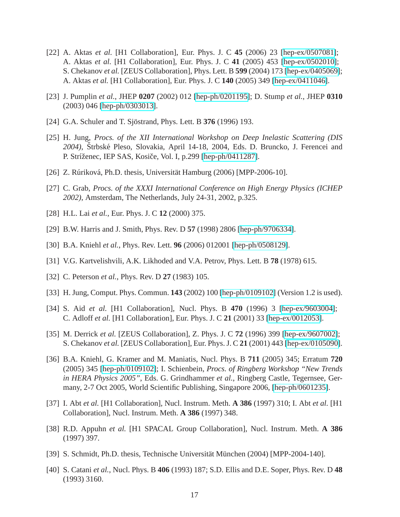- [22] A. Aktas *et al.* [H1 Collaboration], Eur. Phys. J. C **45** (2006) 23 [\[hep-ex/0507081\]](http://arxiv.org/abs/hep-ex/0507081); A. Aktas *et al.* [H1 Collaboration], Eur. Phys. J. C **41** (2005) 453 [\[hep-ex/0502010\]](http://arxiv.org/abs/hep-ex/0502010); S. Chekanov *et al.* [ZEUS Collaboration], Phys. Lett. B **599** (2004) 173 [\[hep-ex/0405069\]](http://arxiv.org/abs/hep-ex/0405069); A. Aktas *et al.* [H1 Collaboration], Eur. Phys. J. C **140** (2005) 349 [\[hep-ex/0411046\]](http://arxiv.org/abs/hep-ex/0411046).
- [23] J. Pumplin *et al.*, JHEP **0207** (2002) 012 [\[hep-ph/0201195\]](http://arxiv.org/abs/hep-ph/0201195); D. Stump *et al.*, JHEP **0310** (2003) 046 [\[hep-ph/0303013\]](http://arxiv.org/abs/hep-ph/0303013).
- [24] G.A. Schuler and T. Sjöstrand, Phys. Lett. B **376** (1996) 193.
- [25] H. Jung, *Procs. of the XII International Workshop on Deep Inelastic Scattering (DIS* 2004), Štrbské Pleso, Slovakia, April 14-18, 2004, Eds. D. Bruncko, J. Ferencei and P. Stríženec, IEP SAS, Kosiče, Vol. I, p.299 [\[hep-ph/0411287\]](http://arxiv.org/abs/hep-ph/0411287).
- [26] Z. Rúriková, Ph.D. thesis, Universität Hamburg (2006) [MPP-2006-10].
- [27] C. Grab, *Procs. of the XXXI International Conference on High Energy Physics (ICHEP 2002)*, Amsterdam, The Netherlands, July 24-31, 2002, p.325.
- [28] H.L. Lai *et al.*, Eur. Phys. J. C **12** (2000) 375.
- [29] B.W. Harris and J. Smith, Phys. Rev. D **57** (1998) 2806 [\[hep-ph/9706334\]](http://arxiv.org/abs/hep-ph/9706334).
- [30] B.A. Kniehl *et al.*, Phys. Rev. Lett. **96** (2006) 012001 [\[hep-ph/0508129\]](http://arxiv.org/abs/hep-ph/0508129).
- [31] V.G. Kartvelishvili, A.K. Likhoded and V.A. Petrov, Phys. Lett. B **78** (1978) 615.
- [32] C. Peterson *et al.*, Phys. Rev. D **27** (1983) 105.
- [33] H. Jung, Comput. Phys. Commun. **143** (2002) 100 [\[hep-ph/0109102\]](http://arxiv.org/abs/hep-ph/0109102) (Version 1.2 is used).
- [34] S. Aid *et al.* [H1 Collaboration], Nucl. Phys. B **470** (1996) 3 [\[hep-ex/9603004\]](http://arxiv.org/abs/hep-ex/9603004); C. Adloff *et al.* [H1 Collaboration], Eur. Phys. J. C **21** (2001) 33 [\[hep-ex/0012053\]](http://arxiv.org/abs/hep-ex/0012053).
- [35] M. Derrick *et al.* [ZEUS Collaboration], Z. Phys. J. C **72** (1996) 399 [\[hep-ex/9607002\]](http://arxiv.org/abs/hep-ex/9607002); S. Chekanov *et al.* [ZEUS Collaboration], Eur. Phys. J. C **21** (2001) 443 [\[hep-ex/0105090\]](http://arxiv.org/abs/hep-ex/0105090).
- [36] B.A. Kniehl, G. Kramer and M. Maniatis, Nucl. Phys. B **711** (2005) 345; Erratum **720** (2005) 345 [\[hep-ph/0109102\]](http://arxiv.org/abs/hep-ph/0109102); I. Schienbein, *Procs. of Ringberg Workshop "New Trends in HERA Physics 2005"*, Eds. G. Grindhammer *et al.*, Ringberg Castle, Tegernsee, Germany, 2-7 Oct 2005, World Scientific Publishing, Singapore 2006, [\[hep-ph/0601235\]](http://arxiv.org/abs/hep-ph/0601235).
- [37] I. Abt *et al.* [H1 Collaboration], Nucl. Instrum. Meth. **A 386** (1997) 310; I. Abt *et al.* [H1 Collaboration], Nucl. Instrum. Meth. **A 386** (1997) 348.
- [38] R.D. Appuhn *et al.* [H1 SPACAL Group Collaboration], Nucl. Instrum. Meth. **A 386** (1997) 397.
- [39] S. Schmidt, Ph.D. thesis, Technische Universität München (2004) [MPP-2004-140].
- [40] S. Catani *et al.*, Nucl. Phys. B **406** (1993) 187; S.D. Ellis and D.E. Soper, Phys. Rev. D **48** (1993) 3160.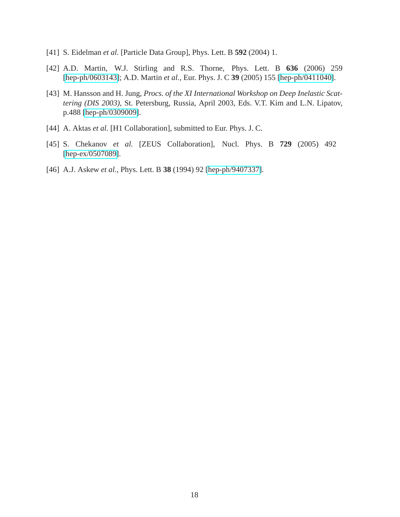- [41] S. Eidelman *et al.* [Particle Data Group], Phys. Lett. B **592** (2004) 1.
- [42] A.D. Martin, W.J. Stirling and R.S. Thorne, Phys. Lett. B **636** (2006) 259 [\[hep-ph/0603143\]](http://arxiv.org/abs/hep-ph/0603143); A.D. Martin *et al.*, Eur. Phys. J. C **39** (2005) 155 [\[hep-ph/0411040\]](http://arxiv.org/abs/hep-ph/0411040).
- [43] M. Hansson and H. Jung, *Procs. of the XI International Workshop on Deep Inelastic Scattering (DIS 2003)*, St. Petersburg, Russia, April 2003, Eds. V.T. Kim and L.N. Lipatov, p.488 [\[hep-ph/0309009\]](http://arxiv.org/abs/hep-ph/0309009).
- [44] A. Aktas *et al.* [H1 Collaboration], submitted to Eur. Phys. J. C.
- [45] S. Chekanov *et al.* [ZEUS Collaboration], Nucl. Phys. B **729** (2005) 492 [\[hep-ex/0507089\]](http://arxiv.org/abs/hep-ex/0507089).
- [46] A.J. Askew *et al.*, Phys. Lett. B **38** (1994) 92 [\[hep-ph/9407337\]](http://arxiv.org/abs/hep-ph/9407337).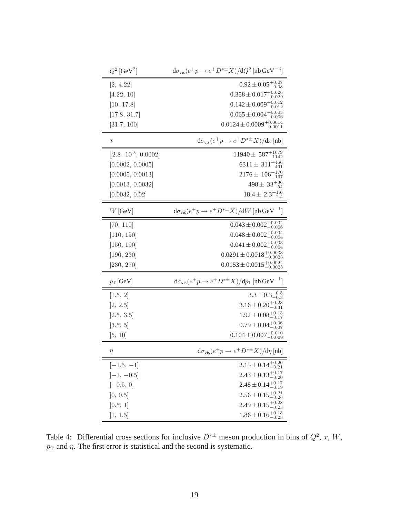| $Q^2\,[{\rm GeV}^2]$          | $d\sigma_{\text{vis}}(e^+p \rightarrow e^+D^{*\pm}X)/dQ^2$ [nb GeV <sup>-2</sup> ] |
|-------------------------------|------------------------------------------------------------------------------------|
| [2, 4.22]                     | $0.92 \pm 0.05^{+0.07}_{-0.08}$                                                    |
| [4.22, 10]                    | $0.358 \pm 0.017^{+0.026}_{-0.029}$                                                |
| [10, 17.8]                    | $0.142 \pm 0.009^{+0.012}_{-0.012}$                                                |
| [17.8, 31.7]                  | $0.065 \pm 0.004^{+0.005}_{-0.006}$                                                |
| [31.7, 100]                   | $0.0124 \pm 0.0009_{-0.0011}^{+0.0014}$                                            |
| $\boldsymbol{x}$              | $d\sigma_{\text{vis}}(e^+p \rightarrow e^+D^{*\pm}X)/dx$ [nb]                      |
| $[2.8 \cdot 10^{-5}, 0.0002]$ | $11940 \pm 587^{+1079}_{-1142}$                                                    |
| [0.0002, 0.0005]              | 6311 $\pm$ 311 <sup>+466</sup>                                                     |
| [0.0005, 0.0013]              | $2176 \pm 106_{-167}^{+170}$                                                       |
| [0.0013, 0.0032]              | $498 \pm 33^{+36}_{-54}$                                                           |
| [0.0032, 0.02]                | $18.4 \pm 2.3_{-2.4}^{+1.6}$                                                       |
| $W$ [GeV]                     | $d\sigma_{\text{vis}}(e^+p \rightarrow e^+D^{*\pm}X)/dW$ [nb GeV <sup>-1</sup> ]   |
| [70, 110]                     | $0.043 \pm 0.002^{+0.004}_{-0.006}$                                                |
| [110, 150]                    | $0.048 \pm 0.002^{+0.004}_{-0.004}$                                                |
| [150, 190]                    | $0.041 \pm 0.002^{+0.003}_{-0.004}$                                                |
| ]190, 230]                    | $0.0291 \pm 0.0018_{-0.0023}^{+0.0033}$                                            |
| [230, 270]                    | $0.0153 \pm 0.0015_{-0.0028}^{+0.0024}$                                            |
| $p_T$ [GeV]                   | $d\sigma_{\text{vis}}(e^+p \rightarrow e^+D^{*\pm}X)/dp_T$ [nb GeV <sup>-1</sup> ] |
| [1.5, 2]                      | $3.3 \pm 0.3_{-0.3}^{+0.5}$                                                        |
| [2, 2.5]                      | $3.16 \pm 0.20^{+0.23}_{-0.31}$                                                    |
| [2.5, 3.5]                    | $1.92 \pm 0.08_{-0.17}^{+0.13}$                                                    |
| [3.5, 5]                      | $0.79 \pm 0.04^{+0.06}_{-0.07}$                                                    |
| [5, 10]                       | $0.104 \pm 0.007^{+0.010}_{-0.009}$                                                |
| $\eta$                        | $d\sigma_{\text{vis}}(e^+p \rightarrow e^+D^{*\pm}X)/d\eta$ [nb]                   |
| $[-1.5, -1]$                  | $2.15 \pm 0.14^{+0.20}_{-0.21}$                                                    |
| $[-1, -0.5]$                  | $2.43 \pm 0.13^{+0.17}_{-0.20}$                                                    |
| $[-0.5, 0]$                   | $+0.17$<br>$2.48 \pm 0.14$                                                         |
| ]0, 0.5]                      | $2.56 \pm 0.15^{+0.21}_{-0.26}$                                                    |
| [0.5, 1]                      | $2.49 \pm 0.15_{-0.23}^{+0.28}$                                                    |
| ]1, 1.5]                      | $1.86 \pm 0.16_{-0.23}^{+0.18}$                                                    |

<span id="page-19-0"></span>Table 4: Differential cross sections for inclusive  $D^{*\pm}$  meson production in bins of  $Q^2$ , x, W,  $p_T$  and  $\eta$ . The first error is statistical and the second is systematic.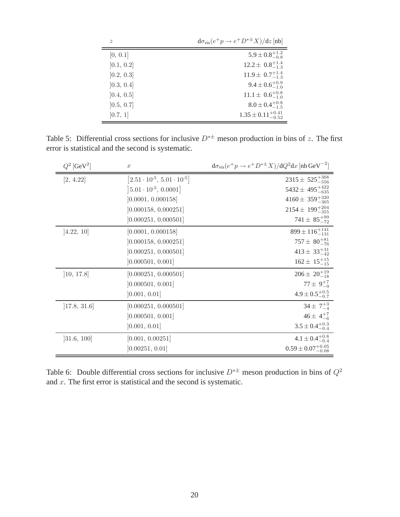| $\tilde{z}$ | $d\sigma_{\text{vis}}(e^+p \rightarrow e^+D^{*\pm}X)/dz$ [nb] |
|-------------|---------------------------------------------------------------|
| [0, 0.1]    | $5.9 \pm 0.8_{-0.8}^{+1.2}$                                   |
| [0.1, 0.2]  | $12.2 \pm 0.8_{-1.3}^{+1.4}$                                  |
| [0.2, 0.3]  | $11.9 \pm 0.7_{-1.3}^{+1.4}$                                  |
| [0.3, 0.4]  | $9.4 \pm 0.6^{+0.9}_{-1.0}$                                   |
| [0.4, 0.5]  | $11.1 \pm 0.6_{-1.0}^{+0.8}$                                  |
| [0.5, 0.7]  | $8.0 \pm 0.4^{+0.8}_{-1.5}$                                   |
| [0.7, 1]    | $1.35 \pm 0.11_{-0.52}^{+0.41}$                               |

<span id="page-20-0"></span>Table 5: Differential cross sections for inclusive  $D^{*\pm}$  meson production in bins of z. The first error is statistical and the second is systematic.

| $Q^2$ [GeV <sup>2</sup> ] | $\boldsymbol{x}$                           | $d\sigma_{\text{vis}}(e^+p \rightarrow e^+D^{*\pm}X)/dQ^2dx$ [nb GeV <sup>-2</sup> ] |
|---------------------------|--------------------------------------------|--------------------------------------------------------------------------------------|
| [2, 4.22]                 | $[2.51 \cdot 10^{-5}, 5.01 \cdot 10^{-5}]$ | $2315 \pm 525^{+368}_{-556}$                                                         |
|                           | $\left[5.01 \cdot 10^{-5}, 0.0001\right]$  | $5432 \pm 495^{+422}_{-635}$                                                         |
|                           | [0.0001, 0.000158]                         | $4160 \pm 359^{+320}_{-365}$                                                         |
|                           | [0.000158, 0.000251]                       | $2154 \pm 199^{+204}_{-355}$                                                         |
|                           | [0.000251, 0.000501]                       | $741 \pm 85^{+99}_{-72}$                                                             |
| [4.22, 10]                | [0.0001, 0.000158]                         | $899 \pm 116_{-131}^{+141}$                                                          |
|                           | [0.000158, 0.000251]                       | $757 \pm 80^{+81}_{-76}$                                                             |
|                           | [0.000251, 0.000501]                       | $413 \pm 33^{+31}_{-42}$                                                             |
|                           | [0.000501, 0.001]                          | $162 \pm 15^{+15}_{-15}$                                                             |
| [10, 17.8]                | [0.000251, 0.000501]                       | $206 \pm 20^{+19}_{-18}$                                                             |
|                           | [0.000501, 0.001]                          | $77 \pm 9^{+7}_{-9}$                                                                 |
|                           | [0.001, 0.01]                              | $4.9 \pm 0.5^{+0.5}_{-0.7}$                                                          |
| [17.8, 31.6]              | [0.000251, 0.000501]                       | $34 \pm 7^{+3}_{-4}$                                                                 |
|                           | [0.000501, 0.001]                          | $46 \pm 4^{+7}_{-6}$                                                                 |
|                           | [0.001, 0.01]                              | $3.5 \pm 0.4^{+0.3}_{-0.4}$                                                          |
| [31.6, 100]               | [0.001, 0.00251]                           | $4.1 \pm 0.4^{+0.8}_{-0.4}$                                                          |
|                           | [0.00251, 0.01]                            | $0.59 \pm 0.07^{+0.05}_{-0.08}$                                                      |

<span id="page-20-1"></span>Table 6: Double differential cross sections for inclusive  $D^{* \pm}$  meson production in bins of  $Q^2$ and  $x$ . The first error is statistical and the second is systematic.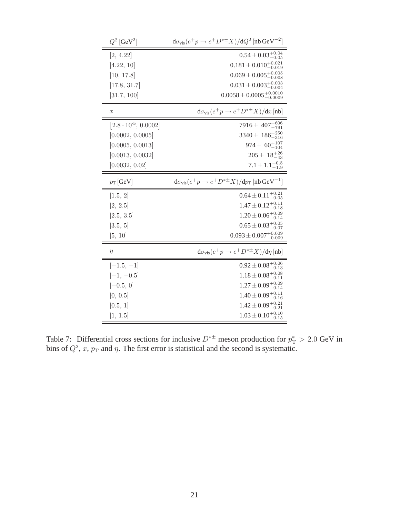| $Q^2$ [GeV <sup>2</sup> ]     | $d\sigma_{\text{vis}}(e^+p \rightarrow e^+D^{*\pm}X)/dQ^2$ [nb GeV <sup>-2</sup> ] |
|-------------------------------|------------------------------------------------------------------------------------|
| [2, 4.22]                     | $0.54 \pm 0.03^{+0.04}_{-0.05}$                                                    |
| [4.22, 10]                    | $0.181 \pm 0.010^{+0.021}_{-0.019}$                                                |
| [10, 17.8]                    | $0.069 \pm 0.005_{-0.008}^{+0.005}$                                                |
| [17.8, 31.7]                  | $0.031 \pm 0.003_{-0.004}^{+0.003}$                                                |
| [31.7, 100]                   | $0.0058 \pm 0.0005^{+0.0010}_{-0.0009}$                                            |
| $\boldsymbol{x}$              | $d\sigma_{\text{vis}}(e^+p \rightarrow e^+D^{*\pm}X)/dx$ [nb]                      |
| $[2.8 \cdot 10^{-5}, 0.0002]$ | 7916 ± 407 $^{+606}_{-791}$                                                        |
| [0.0002, 0.0005]              | $3340 \pm 186^{+250}_{-316}$                                                       |
| [0.0005, 0.0013]              | $974 \pm 60^{+107}_{-104}$                                                         |
| [0.0013, 0.0032]              | $205 \pm 18^{+26}_{-43}$                                                           |
| [0.0032, 0.02]                | $7.1 \pm 1.1_{-1.9}^{+0.5}$                                                        |
| $p_T$ [GeV]                   | $d\sigma_{\text{vis}}(e^+p \rightarrow e^+D^{*\pm}X)/dp_T$ [nb GeV <sup>-1</sup> ] |
| [1.5, 2]                      | $0.64 \pm 0.11^{+0.21}_{-0.05}$                                                    |
| [2, 2.5]                      | $1.47 \pm 0.12_{-0.18}^{+0.11}$                                                    |
| [2.5, 3.5]                    | $1.20 \pm 0.06_{-0.14}^{+0.09}$                                                    |
| [3.5, 5]                      | $0.65\pm0.03^{+0.05}_{-0.07}$                                                      |
| [5, 10]                       | $0.093 \pm 0.007^{+0.009}_{-0.009}$                                                |
| $\eta$                        | $d\sigma_{\text{vis}}(e^+p \rightarrow e^+D^{*\pm}X)/d\eta$ [nb]                   |
| $[-1.5, -1]$                  | $0.92 \pm 0.08_{-0.13}^{+0.06}$                                                    |
| $[-1, -0.5]$                  | $1.18 \pm 0.08_{-0.11}^{+0.08}$                                                    |
| $[-0.5, 0]$                   | $1.27 \pm 0.09_{-0.14}^{+0.09}$                                                    |
| [0, 0.5]                      | $1.40 \pm 0.09_{-0.16}^{+0.11}$                                                    |
| [0.5, 1]                      | $1.42 \pm 0.09_{-0.21}^{+0.21}$                                                    |
| [1, 1.5]                      | $1.03 \pm 0.10^{+0.10}_{-0.15}$                                                    |

<span id="page-21-0"></span>Table 7: Differential cross sections for inclusive  $D^{*\pm}$  meson production for  $p_T^* > 2.0$  GeV in bins of  $Q^2$ , x,  $p_T$  and  $\eta$ . The first error is statistical and the second is systematic.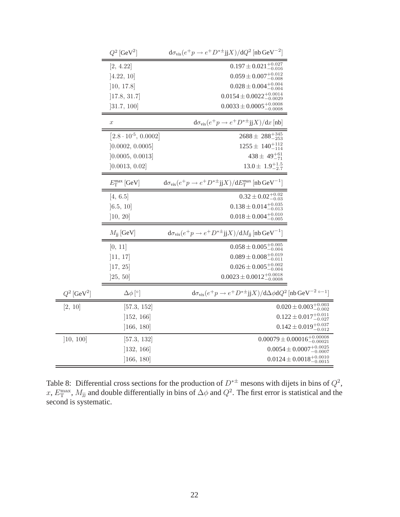|                           | $Q^2$ [GeV <sup>2</sup> ]     | $d\sigma_{\text{vis}}(e^+p \rightarrow e^+D^{*\pm}jX)/dQ^2$ [nb GeV <sup>-2</sup> ]                             |                                             |
|---------------------------|-------------------------------|-----------------------------------------------------------------------------------------------------------------|---------------------------------------------|
|                           | [2, 4.22]                     | $0.197 \pm 0.021^{+0.027}_{-0.016}$                                                                             |                                             |
|                           | [4.22, 10]                    | $0.059 \pm 0.007^{+0.012}_{-0.008}$                                                                             |                                             |
|                           | [10, 17.8]                    | $0.028 \pm 0.004^{+0.004}_{-0.004}$                                                                             |                                             |
|                           | [17.8, 31.7]                  | $0.0154 \pm 0.0022^{+0.0014}_{-0.0029}$                                                                         |                                             |
|                           | ]31.7, 100]                   | $0.0033 \pm 0.0005^{+0.0008}_{-0.0008}$                                                                         |                                             |
|                           | $\boldsymbol{x}$              | $d\sigma_{\text{vis}}(e^+p \rightarrow e^+D^{*\pm}$ jj $X)/dx$ [nb]                                             |                                             |
|                           | $[2.8 \cdot 10^{-5}, 0.0002]$ | $2688 \pm 288_{-253}^{+345}$                                                                                    |                                             |
|                           | [0.0002, 0.0005]              | $1255 \pm 140^{+112}_{-114}$                                                                                    |                                             |
|                           | [0.0005, 0.0013]              | $438 \pm 49^{+61}_{-71}$                                                                                        |                                             |
|                           | [0.0013, 0.02]                | $13.0 \pm 1.9_{-2.7}^{+1.5}$                                                                                    |                                             |
|                           | $E_{\rm T}^{\rm max}$ [GeV]   | ${\rm d} \sigma_{\rm vis}(e^+p\to e^+D^{*\pm}{\rm jj}X)/ {\rm d}E_{\rm T}^{\rm max}$ [nb ${\rm GeV}^{-1}]$      |                                             |
|                           | [4, 6.5]                      | $0.32 \pm 0.02^{+0.02}_{-0.03}$                                                                                 |                                             |
|                           | [6.5, 10]                     | $0.138\pm0.014^{+0.035}_{-0.013}$                                                                               |                                             |
|                           | ]10, 20]                      | $0.018 \pm 0.004^{+0.010}_{-0.005}$                                                                             |                                             |
|                           | $M_{\rm ii}$ [GeV]            | $d\sigma_{\text{vis}}(e^+p \rightarrow e^+D^{*\pm}j\mathbf{j}X)/dM_{ii}$ [nb GeV <sup>-1</sup> ]                |                                             |
|                           | [0, 11]                       | $0.058 \pm 0.005^{+0.005}_{-0.004}$                                                                             |                                             |
|                           | ]11, 17]                      | $0.089 \pm 0.008^{+0.019}_{-0.011}$                                                                             |                                             |
|                           | [17, 25]                      | $0.026 \pm 0.005^{+0.002}_{-0.004}$                                                                             |                                             |
|                           | ]25, 50]                      | $0.0023 \pm 0.0012^{+0.0018}_{-0.0008}$                                                                         |                                             |
| $Q^2$ [GeV <sup>2</sup> ] | $\Delta\phi$ [°]              | $d\sigma_{\text{vis}}(e^+p \rightarrow e^+D^{*\pm}jX)/d\Delta\phi dQ^2$ [nb GeV <sup>-2</sup> ° <sup>-1</sup> ] |                                             |
| [2, 10]                   | [57.3, 152]                   |                                                                                                                 | $0.020 \pm 0.003^{+0.003}_{-0.002}$         |
|                           | ]152, 166]                    |                                                                                                                 | $0.122 \pm 0.017^{+0.011}_{-0.027}$         |
|                           | [166, 180]                    |                                                                                                                 | $0.142 \pm 0.019_{-0.012}^{+0.037}$         |
| [10, 100]                 | [57.3, 132]                   |                                                                                                                 | $0.00079 \pm 0.00016^{+0.00008}_{-0.00021}$ |
|                           | ]132, 166]                    |                                                                                                                 | $0.0054 \pm 0.0007^{+0.0025}_{-0.0007}$     |
|                           | [166, 180]                    |                                                                                                                 | $0.0124 \pm 0.0018^{+0.0010}_{-0.0015}$     |

<span id="page-22-0"></span>Table 8: Differential cross sections for the production of  $D^{*\pm}$  mesons with dijets in bins of  $Q^2$ , x,  $E_T^{\text{max}}$ ,  $M_{jj}$  and double differentially in bins of  $\Delta\phi$  and  $Q^2$ . The first error is statistical and the second is systematic.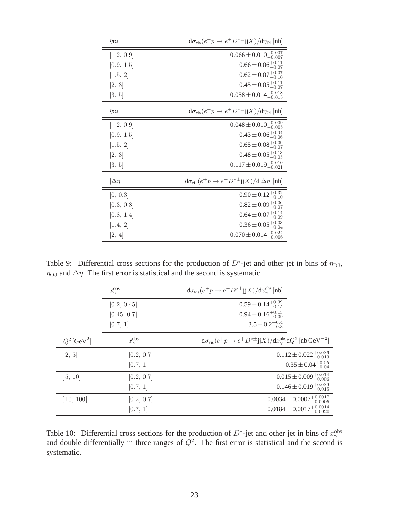| $\eta_{\rm DI}$ | $d\sigma_{\text{vis}}(e^+p \rightarrow e^+D^{*\pm}jX)/d\eta_{\text{DJ}}$ [nb] |
|-----------------|-------------------------------------------------------------------------------|
| $[-2, 0.9]$     | $0.066 \pm 0.010^{+0.007}_{-0.007}$                                           |
| [0.9, 1.5]      | $0.66 \pm 0.06_{-0.07}^{+0.11}$                                               |
| [1.5, 2]        | $0.62 \pm 0.07^{+0.07}_{-0.10}$                                               |
| [2, 3]          | $0.45 \pm 0.05_{-0.07}^{+0.11}$                                               |
| [3, 5]          | $0.058 \pm 0.014^{+0.018}_{-0.015}$                                           |
| $\eta_{OJ}$     | $d\sigma_{\text{vis}}(e^+p \rightarrow e^+D^{*\pm}jX)/d\eta_{\text{OJ}}$ [nb] |
| $[-2, 0.9]$     | $0.048 \pm 0.010^{+0.009}_{-0.005}$                                           |
| [0.9, 1.5]      | $0.43 \pm 0.06_{-0.06}^{+0.04}$                                               |
| [1.5, 2]        | $0.65 \pm 0.08^{+0.09}_{-0.07}$                                               |
| [2, 3]          | $0.48 \pm 0.05^{+0.13}_{-0.05}$                                               |
| [3, 5]          | $0.117 \pm 0.019_{-0.021}^{+0.010}$                                           |
| $ \Delta \eta $ | $d\sigma_{\text{vis}}(e^+p \rightarrow e^+D^{*\pm}jX)/d \Delta\eta $ [nb]     |
| [0, 0.3]        | $0.90 \pm 0.12^{+0.32}_{-0.10}$                                               |
| [0.3, 0.8]      | $0.82 \pm 0.09_{-0.07}^{+0.06}$                                               |
| [0.8, 1.4]      | $0.64 \pm 0.07^{+0.14}_{-0.09}$                                               |
| [1.4, 2]        | $0.36 \pm 0.05^{+0.03}_{-0.04}$                                               |
| [2, 4]          | $0.070 \pm 0.014_{-0.006}^{+0.024}$                                           |

<span id="page-23-0"></span>Table 9: Differential cross sections for the production of  $D^*$ -jet and other jet in bins of  $\eta_{\text{DJ}}$ ,  $\eta_{\text{OJ}}$  and  $\Delta \eta$ . The first error is statistical and the second is systematic.

|                           | $x_\gamma^{\rm obs}$   | $d\sigma_{\text{vis}}(e^+p \rightarrow e^+D^{*\pm} jjX)/dx_{\gamma}^{\text{obs}}[{\text{nb}}]$              |
|---------------------------|------------------------|-------------------------------------------------------------------------------------------------------------|
|                           | [0.2, 0.45]            | $0.59 \pm 0.14_{-0.15}^{+0.39}$                                                                             |
|                           | [0.45, 0.7]            | $0.94 \pm 0.16_{-0.09}^{+0.13}$                                                                             |
|                           | [0.7, 1]               | $3.5 \pm 0.2^{+0.4}_{-0.3}$                                                                                 |
| $Q^2$ [GeV <sup>2</sup> ] | $x_{\gamma}^{\rm obs}$ | $d\sigma_{\text{vis}}(e^+p \rightarrow e^+D^{*\pm}jX)/dx_{\gamma}^{\text{obs}}dQ^2$ [nb GeV <sup>-2</sup> ] |
| [2, 5]                    | [0.2, 0.7]             | $0.112 \pm 0.022^{+0.036}_{-0.013}$                                                                         |
|                           | [0.7, 1]               | $0.35 \pm 0.04^{+0.05}_{-0.04}$                                                                             |
| [5, 10]                   | [0.2, 0.7]             | $0.015 \pm 0.009_{-0.006}^{+0.014}$                                                                         |
|                           | [0.7, 1]               | $0.146 \pm 0.019_{-0.015}^{+0.039}$                                                                         |
| [10, 100]                 | [0.2, 0.7]             | $0.0034 \pm 0.0007^{+0.0017}_{-0.0005}$                                                                     |
|                           | [0.7, 1]               | $0.0184 \pm 0.0017_{-0.0020}^{+0.0014}$                                                                     |

<span id="page-23-1"></span>Table 10: Differential cross sections for the production of  $D^*$ -jet and other jet in bins of  $x_\gamma^{\text{obs}}$ and double differentially in three ranges of  $Q^2$ . The first error is statistical and the second is systematic.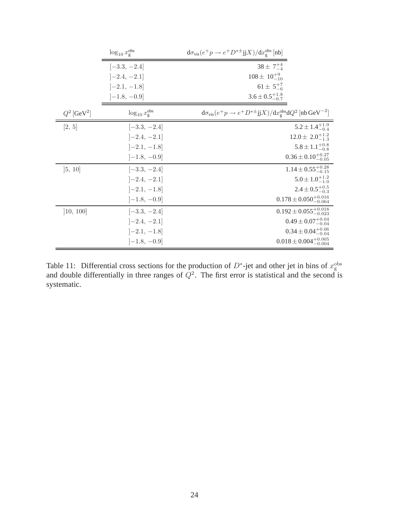|                           | $\log_{10} x_{\rm g}^{\rm obs}$ | $d\sigma_{\text{vis}}(e^+p \rightarrow e^+D^{*\pm} jjX)/dx_s^{\text{obs}}$ [nb]                      |
|---------------------------|---------------------------------|------------------------------------------------------------------------------------------------------|
|                           | $[-3.3, -2.4]$                  | $38 \pm 7^{+4}_{-4}$                                                                                 |
|                           | $[-2.4, -2.1]$                  | $108 \pm 10^{+9}_{-10}$                                                                              |
|                           | $[-2.1, -1.8]$                  | $61 \pm 5^{+7}_{-6}$                                                                                 |
|                           | $[-1.8, -0.9]$                  | $3.6 \pm 0.5^{+1.8}_{-0.7}$                                                                          |
| $Q^2$ [GeV <sup>2</sup> ] | $\log_{10} x_{\rm g}^{\rm obs}$ | $d\sigma_{\text{vis}}(e^+p \rightarrow e^+D^{*\pm}jX)/dx_s^{\text{obs}}dQ^2$ [nb GeV <sup>-2</sup> ] |
| [2, 5]                    | $[-3.3, -2.4]$                  | $5.2 \pm 1.4^{+1.9}_{-0.4}$                                                                          |
|                           | $[-2.4, -2.1]$                  | $12.0 \pm 2.0^{+1.2}_{-1.3}$                                                                         |
|                           | $[-2.1, -1.8]$                  | $5.8 \pm 1.1^{+0.8}_{-0.8}$                                                                          |
|                           | $[-1.8, -0.9]$                  | $0.36 \pm 0.10^{+0.27}_{-0.05}$                                                                      |
| [5, 10]                   | $[-3.3, -2.4]$                  | $1.14 \pm 0.55_{-0.15}^{+0.28}$                                                                      |
|                           | $[-2.4, -2.1]$                  | $5.0 \pm 1.0^{+1.2}_{-1.0}$                                                                          |
|                           | $[-2.1, -1.8]$                  | $2.4 \pm 0.5_{-0.3}^{+0.5}$                                                                          |
|                           | $[-1.8, -0.9]$                  | $0.178 \pm 0.050^{+0.016}_{-0.064}$                                                                  |
| [10, 100]                 | $[-3.3, -2.4]$                  | $0.192 \pm 0.055^{+0.018}_{-0.023}$                                                                  |
|                           | $[-2.4, -2.1]$                  | $0.49 \pm 0.07^{+0.04}_{-0.04}$                                                                      |
|                           | $[-2.1, -1.8]$                  | $0.34 \pm 0.04^{+0.06}_{-0.04}$                                                                      |
|                           | $[-1.8, -0.9]$                  | $0.018 \pm 0.004^{+0.005}_{-0.004}$                                                                  |

<span id="page-24-0"></span>Table 11: Differential cross sections for the production of  $D^*$ -jet and other jet in bins of  $x_g^{\text{obs}}$  and double differentially in three ranges of  $Q^2$ . The first error is statistical and the second is systematic.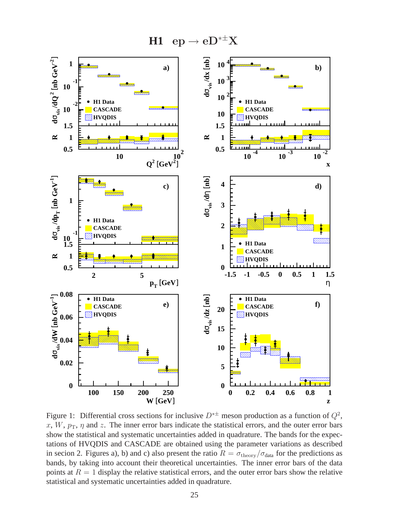$H1$  ep  $\rightarrow$  eD<sup>\*±</sup>X



<span id="page-25-0"></span>Figure 1: Differential cross sections for inclusive  $D^{*\pm}$  meson production as a function of  $Q^2$ , x, W,  $p_T$ ,  $\eta$  and z. The inner error bars indicate the statistical errors, and the outer error bars show the statistical and systematic uncertainties added in quadrature. The bands for the expectations of HVQDIS and CASCADE are obtained using the parameter variations as described in secion 2. Figures a), b) and c) also present the ratio  $R = \sigma_{\text{theory}}/\sigma_{\text{data}}$  for the predictions as bands, by taking into account their theoretical uncertainties. The inner error bars of the data points at  $R = 1$  display the relative statistical errors, and the outer error bars show the relative statistical and systematic uncertainties added in quadrature.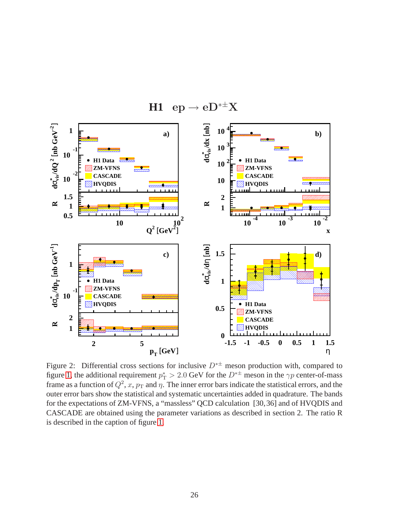

 $H1$  ep  $\rightarrow$  eD<sup>\*±</sup>X

<span id="page-26-0"></span>Figure 2: Differential cross sections for inclusive  $D^{* \pm}$  meson production with, compared to figure [1,](#page-25-0) the additional requirement  $p_T^* > 2.0$  GeV for the  $D^{*\pm}$  meson in the  $\gamma p$  center-of-mass frame as a function of  $Q^2$ , x,  $p_T$  and  $\eta$ . The inner error bars indicate the statistical errors, and the outer error bars show the statistical and systematic uncertainties added in quadrature. The bands for the expectations of ZM-VFNS, a "massless" QCD calculation [30,36] and of HVQDIS and CASCADE are obtained using the parameter variations as described in section 2. The ratio R is described in the caption of figure [1.](#page-25-0)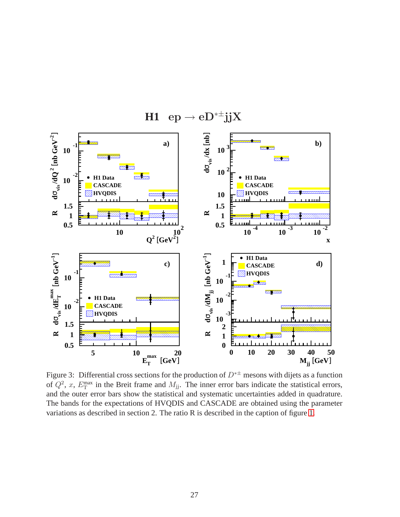

 $H1$  ep  $\rightarrow$  eD<sup>\*±</sup>jjX

<span id="page-27-0"></span>Figure 3: Differential cross sections for the production of  $D^{*\pm}$  mesons with dijets as a function of  $Q^2$ , x,  $E_T^{\text{max}}$  in the Breit frame and  $M_{jj}$ . The inner error bars indicate the statistical errors, and the outer error bars show the statistical and systematic uncertainties added in quadrature. The bands for the expectations of HVQDIS and CASCADE are obtained using the parameter variations as described in section 2. The ratio R is described in the caption of figure [1.](#page-25-0)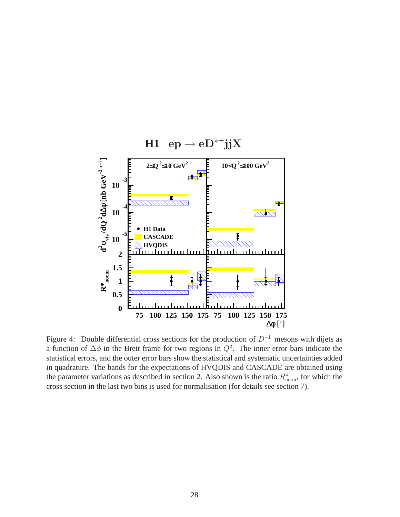

<span id="page-28-0"></span>Figure 4: Double differential cross sections for the production of  $D^{* \pm}$  mesons with dijets as a function of  $\Delta\phi$  in the Breit frame for two regions in  $Q^2$ . The inner error bars indicate the statistical errors, and the outer error bars show the statistical and systematic uncertainties added in quadrature. The bands for the expectations of HVQDIS and CASCADE are obtained using the parameter variations as described in section 2. Also shown is the ratio  $R_{\text{norm}}^*$ , for which the cross section in the last two bins is used for normalisation (for details see section 7).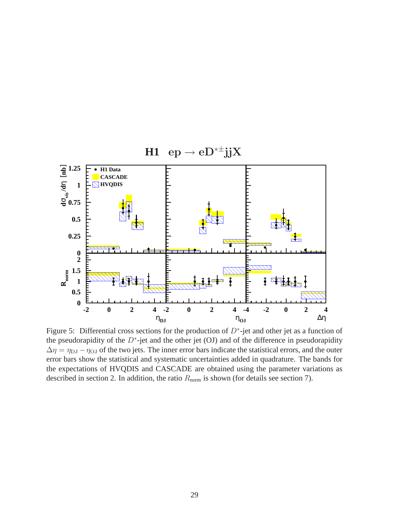

<span id="page-29-0"></span>Figure 5: Differential cross sections for the production of  $D^*$ -jet and other jet as a function of the pseudorapidity of the  $D^*$ -jet and the other jet (OJ) and of the difference in pseudorapidity  $\Delta \eta = \eta_{\text{DJ}} - \eta_{\text{OJ}}$  of the two jets. The inner error bars indicate the statistical errors, and the outer error bars show the statistical and systematic uncertainties added in quadrature. The bands for the expectations of HVQDIS and CASCADE are obtained using the parameter variations as described in section 2. In addition, the ratio  $R_{\text{norm}}$  is shown (for details see section 7).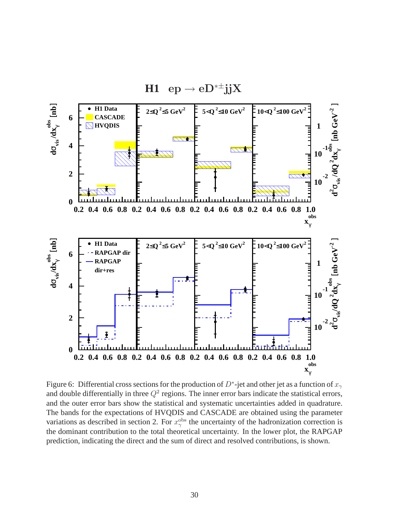

<span id="page-30-0"></span>Figure 6: Differential cross sections for the production of  $D^*$ -jet and other jet as a function of  $x_\gamma$ and double differentially in three  $Q^2$  regions. The inner error bars indicate the statistical errors, and the outer error bars show the statistical and systematic uncertainties added in quadrature. The bands for the expectations of HVQDIS and CASCADE are obtained using the parameter variations as described in section 2. For  $x_{\gamma}^{\text{obs}}$  the uncertainty of the hadronization correction is the dominant contribution to the total theoretical uncertainty. In the lower plot, the RAPGAP prediction, indicating the direct and the sum of direct and resolved contributions, is shown.